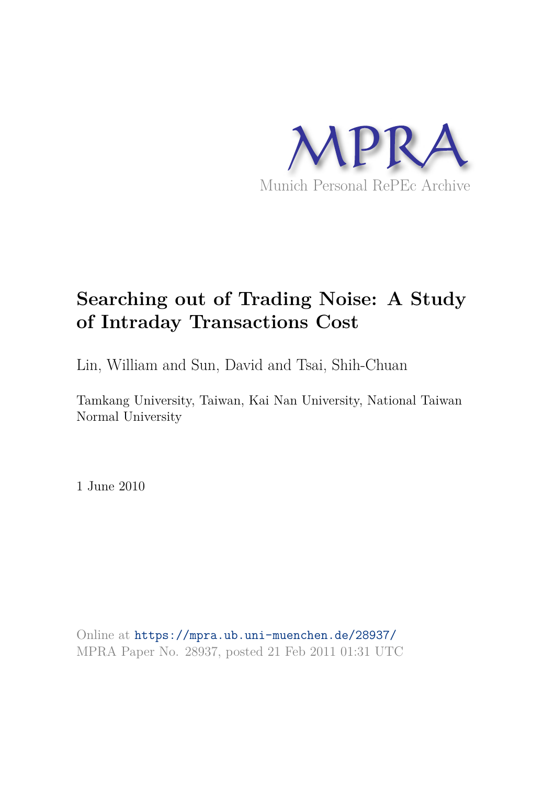

# **Searching out of Trading Noise: A Study of Intraday Transactions Cost**

Lin, William and Sun, David and Tsai, Shih-Chuan

Tamkang University, Taiwan, Kai Nan University, National Taiwan Normal University

1 June 2010

Online at https://mpra.ub.uni-muenchen.de/28937/ MPRA Paper No. 28937, posted 21 Feb 2011 01:31 UTC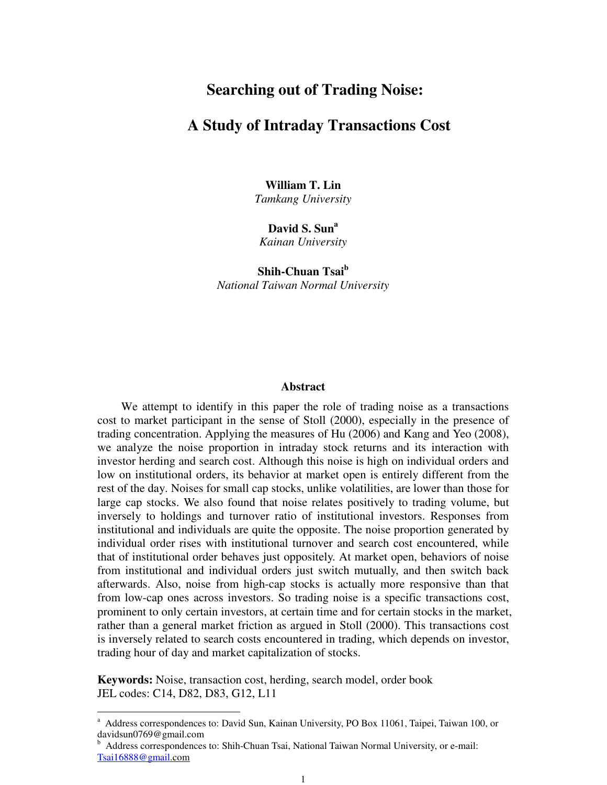## **Searching out of Trading Noise:**

## **A Study of Intraday Transactions Cost**

**William T. Lin**  *Tamkang University* 

**David S. Sun<sup>a</sup>** *Kainan University* 

**Shih-Chuan Tsai<sup>b</sup>** *National Taiwan Normal University* 

#### **Abstract**

 We attempt to identify in this paper the role of trading noise as a transactions cost to market participant in the sense of Stoll (2000), especially in the presence of trading concentration. Applying the measures of Hu (2006) and Kang and Yeo (2008), we analyze the noise proportion in intraday stock returns and its interaction with investor herding and search cost. Although this noise is high on individual orders and low on institutional orders, its behavior at market open is entirely different from the rest of the day. Noises for small cap stocks, unlike volatilities, are lower than those for large cap stocks. We also found that noise relates positively to trading volume, but inversely to holdings and turnover ratio of institutional investors. Responses from institutional and individuals are quite the opposite. The noise proportion generated by individual order rises with institutional turnover and search cost encountered, while that of institutional order behaves just oppositely. At market open, behaviors of noise from institutional and individual orders just switch mutually, and then switch back afterwards. Also, noise from high-cap stocks is actually more responsive than that from low-cap ones across investors. So trading noise is a specific transactions cost, prominent to only certain investors, at certain time and for certain stocks in the market, rather than a general market friction as argued in Stoll (2000). This transactions cost is inversely related to search costs encountered in trading, which depends on investor, trading hour of day and market capitalization of stocks.

**Keywords:** Noise, transaction cost, herding, search model, order book JEL codes: C14, D82, D83, G12, L11

 $\overline{a}$ 

<sup>&</sup>lt;sup>a</sup> Address correspondences to: David Sun, Kainan University, PO Box 11061, Taipei, Taiwan 100, or davidsun0769@gmail.com

<sup>&</sup>lt;sup>b</sup> Address correspondences to: Shih-Chuan Tsai, National Taiwan Normal University, or e-mail: Tsai16888@gmail.com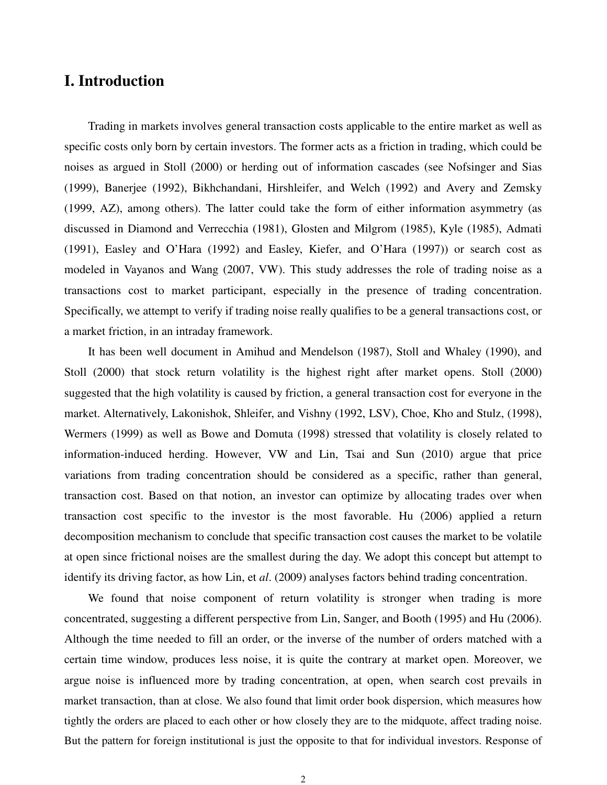# **I. Introduction**

Trading in markets involves general transaction costs applicable to the entire market as well as specific costs only born by certain investors. The former acts as a friction in trading, which could be noises as argued in Stoll (2000) or herding out of information cascades (see Nofsinger and Sias (1999), Banerjee (1992), Bikhchandani, Hirshleifer, and Welch (1992) and Avery and Zemsky (1999, AZ), among others). The latter could take the form of either information asymmetry (as discussed in Diamond and Verrecchia (1981), Glosten and Milgrom (1985), Kyle (1985), Admati (1991), Easley and O'Hara (1992) and Easley, Kiefer, and O'Hara (1997)) or search cost as modeled in Vayanos and Wang (2007, VW). This study addresses the role of trading noise as a transactions cost to market participant, especially in the presence of trading concentration. Specifically, we attempt to verify if trading noise really qualifies to be a general transactions cost, or a market friction, in an intraday framework.

It has been well document in Amihud and Mendelson (1987), Stoll and Whaley (1990), and Stoll (2000) that stock return volatility is the highest right after market opens. Stoll (2000) suggested that the high volatility is caused by friction, a general transaction cost for everyone in the market. Alternatively, Lakonishok, Shleifer, and Vishny (1992, LSV), Choe, Kho and Stulz, (1998), Wermers (1999) as well as Bowe and Domuta (1998) stressed that volatility is closely related to information-induced herding. However, VW and Lin, Tsai and Sun (2010) argue that price variations from trading concentration should be considered as a specific, rather than general, transaction cost. Based on that notion, an investor can optimize by allocating trades over when transaction cost specific to the investor is the most favorable. Hu (2006) applied a return decomposition mechanism to conclude that specific transaction cost causes the market to be volatile at open since frictional noises are the smallest during the day. We adopt this concept but attempt to identify its driving factor, as how Lin, et *al*. (2009) analyses factors behind trading concentration.

We found that noise component of return volatility is stronger when trading is more concentrated, suggesting a different perspective from Lin, Sanger, and Booth (1995) and Hu (2006). Although the time needed to fill an order, or the inverse of the number of orders matched with a certain time window, produces less noise, it is quite the contrary at market open. Moreover, we argue noise is influenced more by trading concentration, at open, when search cost prevails in market transaction, than at close. We also found that limit order book dispersion, which measures how tightly the orders are placed to each other or how closely they are to the midquote, affect trading noise. But the pattern for foreign institutional is just the opposite to that for individual investors. Response of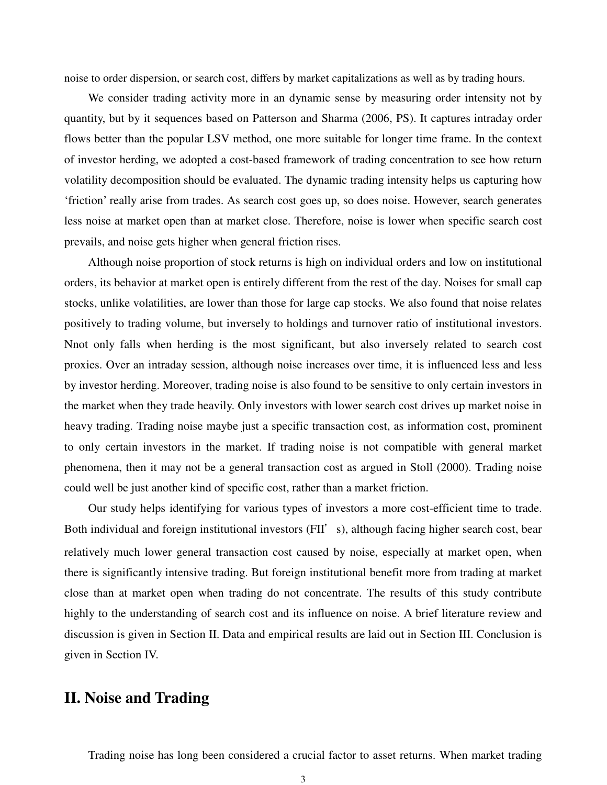noise to order dispersion, or search cost, differs by market capitalizations as well as by trading hours.

 We consider trading activity more in an dynamic sense by measuring order intensity not by quantity, but by it sequences based on Patterson and Sharma (2006, PS). It captures intraday order flows better than the popular LSV method, one more suitable for longer time frame. In the context of investor herding, we adopted a cost-based framework of trading concentration to see how return volatility decomposition should be evaluated. The dynamic trading intensity helps us capturing how 'friction' really arise from trades. As search cost goes up, so does noise. However, search generates less noise at market open than at market close. Therefore, noise is lower when specific search cost prevails, and noise gets higher when general friction rises.

Although noise proportion of stock returns is high on individual orders and low on institutional orders, its behavior at market open is entirely different from the rest of the day. Noises for small cap stocks, unlike volatilities, are lower than those for large cap stocks. We also found that noise relates positively to trading volume, but inversely to holdings and turnover ratio of institutional investors. Nnot only falls when herding is the most significant, but also inversely related to search cost proxies. Over an intraday session, although noise increases over time, it is influenced less and less by investor herding. Moreover, trading noise is also found to be sensitive to only certain investors in the market when they trade heavily. Only investors with lower search cost drives up market noise in heavy trading. Trading noise maybe just a specific transaction cost, as information cost, prominent to only certain investors in the market. If trading noise is not compatible with general market phenomena, then it may not be a general transaction cost as argued in Stoll (2000). Trading noise could well be just another kind of specific cost, rather than a market friction.

Our study helps identifying for various types of investors a more cost-efficient time to trade. Both individual and foreign institutional investors (FII's), although facing higher search cost, bear relatively much lower general transaction cost caused by noise, especially at market open, when there is significantly intensive trading. But foreign institutional benefit more from trading at market close than at market open when trading do not concentrate. The results of this study contribute highly to the understanding of search cost and its influence on noise. A brief literature review and discussion is given in Section II. Data and empirical results are laid out in Section III. Conclusion is given in Section IV.

# **II. Noise and Trading**

Trading noise has long been considered a crucial factor to asset returns. When market trading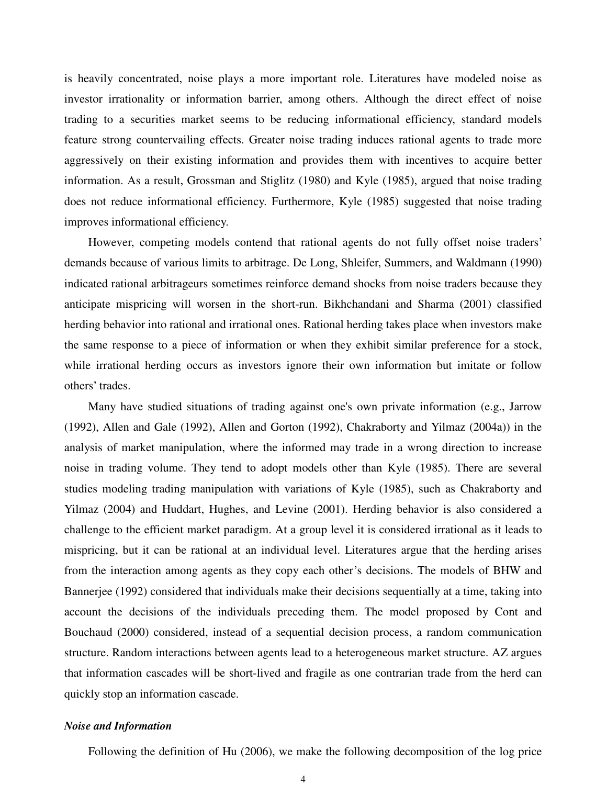is heavily concentrated, noise plays a more important role. Literatures have modeled noise as investor irrationality or information barrier, among others. Although the direct effect of noise trading to a securities market seems to be reducing informational efficiency, standard models feature strong countervailing effects. Greater noise trading induces rational agents to trade more aggressively on their existing information and provides them with incentives to acquire better information. As a result, Grossman and Stiglitz (1980) and Kyle (1985), argued that noise trading does not reduce informational efficiency. Furthermore, Kyle (1985) suggested that noise trading improves informational efficiency.

However, competing models contend that rational agents do not fully offset noise traders' demands because of various limits to arbitrage. De Long, Shleifer, Summers, and Waldmann (1990) indicated rational arbitrageurs sometimes reinforce demand shocks from noise traders because they anticipate mispricing will worsen in the short-run. Bikhchandani and Sharma (2001) classified herding behavior into rational and irrational ones. Rational herding takes place when investors make the same response to a piece of information or when they exhibit similar preference for a stock, while irrational herding occurs as investors ignore their own information but imitate or follow others' trades.

Many have studied situations of trading against one's own private information (e.g., Jarrow (1992), Allen and Gale (1992), Allen and Gorton (1992), Chakraborty and Yilmaz (2004a)) in the analysis of market manipulation, where the informed may trade in a wrong direction to increase noise in trading volume. They tend to adopt models other than Kyle (1985). There are several studies modeling trading manipulation with variations of Kyle (1985), such as Chakraborty and Yilmaz (2004) and Huddart, Hughes, and Levine (2001). Herding behavior is also considered a challenge to the efficient market paradigm. At a group level it is considered irrational as it leads to mispricing, but it can be rational at an individual level. Literatures argue that the herding arises from the interaction among agents as they copy each other's decisions. The models of BHW and Bannerjee (1992) considered that individuals make their decisions sequentially at a time, taking into account the decisions of the individuals preceding them. The model proposed by Cont and Bouchaud (2000) considered, instead of a sequential decision process, a random communication structure. Random interactions between agents lead to a heterogeneous market structure. AZ argues that information cascades will be short-lived and fragile as one contrarian trade from the herd can quickly stop an information cascade.

#### *Noise and Information*

Following the definition of Hu (2006), we make the following decomposition of the log price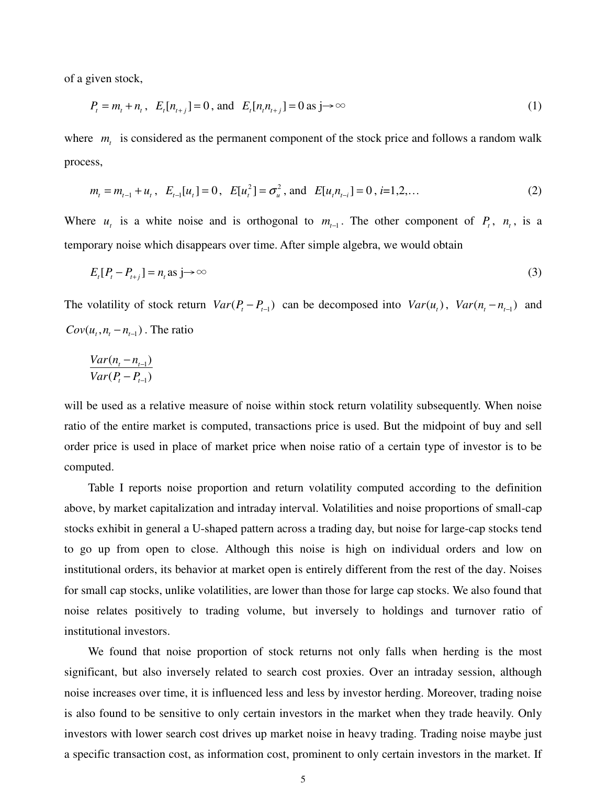of a given stock,

$$
P_t = m_t + n_t, \quad E_t[n_{t+j}] = 0, \text{ and } \quad E_t[n_t n_{t+j}] = 0 \text{ as } j \to \infty
$$
 (1)

where  $m<sub>t</sub>$  is considered as the permanent component of the stock price and follows a random walk process,

$$
m_t = m_{t-1} + u_t
$$
,  $E_{t-1}[u_t] = 0$ ,  $E[u_t^2] = \sigma_u^2$ , and  $E[u_t n_{t-1}] = 0$ ,  $i=1,2,...$  (2)

Where  $u_t$  is a white noise and is orthogonal to  $m_{t-1}$ . The other component of  $P_t$ ,  $n_t$ , is a temporary noise which disappears over time. After simple algebra, we would obtain

$$
E_t[P_t - P_{t+j}] = n_t \text{ as } j \to \infty \tag{3}
$$

The volatility of stock return  $Var(P_t - P_{t-1})$  can be decomposed into  $Var(u_t)$ ,  $Var(n_t - n_{t-1})$  and  $Cov(u_t, n_t - n_{t-1})$ . The ratio

$$
\frac{Var(n_t - n_{t-1})}{Var(P_t - P_{t-1})}
$$

will be used as a relative measure of noise within stock return volatility subsequently. When noise ratio of the entire market is computed, transactions price is used. But the midpoint of buy and sell order price is used in place of market price when noise ratio of a certain type of investor is to be computed.

 Table I reports noise proportion and return volatility computed according to the definition above, by market capitalization and intraday interval. Volatilities and noise proportions of small-cap stocks exhibit in general a U-shaped pattern across a trading day, but noise for large-cap stocks tend to go up from open to close. Although this noise is high on individual orders and low on institutional orders, its behavior at market open is entirely different from the rest of the day. Noises for small cap stocks, unlike volatilities, are lower than those for large cap stocks. We also found that noise relates positively to trading volume, but inversely to holdings and turnover ratio of institutional investors.

We found that noise proportion of stock returns not only falls when herding is the most significant, but also inversely related to search cost proxies. Over an intraday session, although noise increases over time, it is influenced less and less by investor herding. Moreover, trading noise is also found to be sensitive to only certain investors in the market when they trade heavily. Only investors with lower search cost drives up market noise in heavy trading. Trading noise maybe just a specific transaction cost, as information cost, prominent to only certain investors in the market. If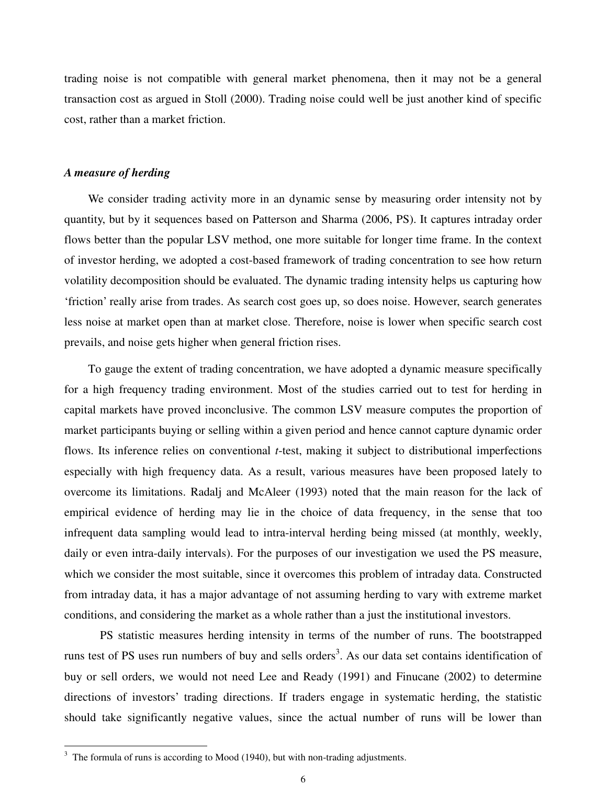trading noise is not compatible with general market phenomena, then it may not be a general transaction cost as argued in Stoll (2000). Trading noise could well be just another kind of specific cost, rather than a market friction.

### *A measure of herding*

 We consider trading activity more in an dynamic sense by measuring order intensity not by quantity, but by it sequences based on Patterson and Sharma (2006, PS). It captures intraday order flows better than the popular LSV method, one more suitable for longer time frame. In the context of investor herding, we adopted a cost-based framework of trading concentration to see how return volatility decomposition should be evaluated. The dynamic trading intensity helps us capturing how 'friction' really arise from trades. As search cost goes up, so does noise. However, search generates less noise at market open than at market close. Therefore, noise is lower when specific search cost prevails, and noise gets higher when general friction rises.

To gauge the extent of trading concentration, we have adopted a dynamic measure specifically for a high frequency trading environment. Most of the studies carried out to test for herding in capital markets have proved inconclusive. The common LSV measure computes the proportion of market participants buying or selling within a given period and hence cannot capture dynamic order flows. Its inference relies on conventional *t*-test, making it subject to distributional imperfections especially with high frequency data. As a result, various measures have been proposed lately to overcome its limitations. Radalj and McAleer (1993) noted that the main reason for the lack of empirical evidence of herding may lie in the choice of data frequency, in the sense that too infrequent data sampling would lead to intra-interval herding being missed (at monthly, weekly, daily or even intra-daily intervals). For the purposes of our investigation we used the PS measure, which we consider the most suitable, since it overcomes this problem of intraday data. Constructed from intraday data, it has a major advantage of not assuming herding to vary with extreme market conditions, and considering the market as a whole rather than a just the institutional investors.

PS statistic measures herding intensity in terms of the number of runs. The bootstrapped runs test of PS uses run numbers of buy and sells orders<sup>3</sup>. As our data set contains identification of buy or sell orders, we would not need Lee and Ready (1991) and Finucane (2002) to determine directions of investors' trading directions. If traders engage in systematic herding, the statistic should take significantly negative values, since the actual number of runs will be lower than

<sup>&</sup>lt;sup>3</sup> The formula of runs is according to Mood (1940), but with non-trading adjustments.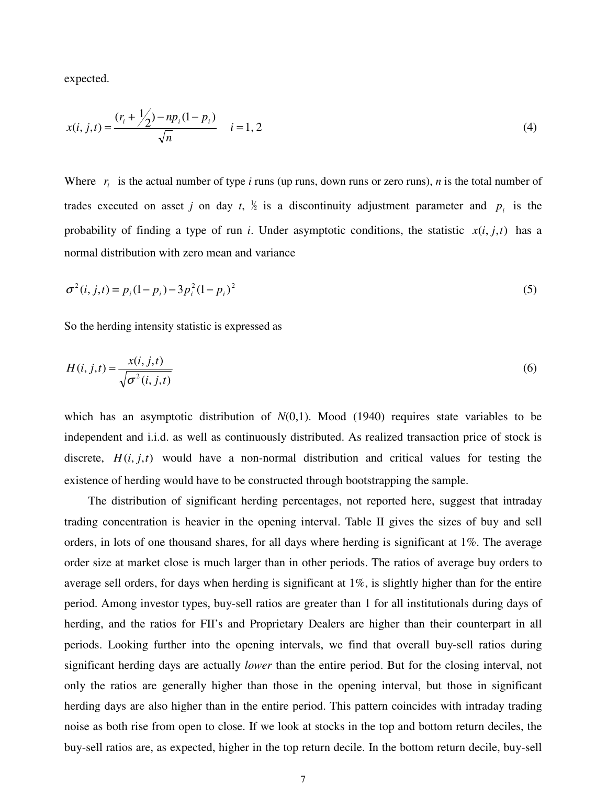expected.

$$
x(i, j, t) = \frac{(r_i + \frac{1}{2}) - np_i(1 - p_i)}{\sqrt{n}} \quad i = 1, 2
$$
\n(4)

Where  $r_i$  is the actual number of type *i* runs (up runs, down runs or zero runs), *n* is the total number of trades executed on asset *j* on day *t*,  $\frac{1}{2}$  is a discontinuity adjustment parameter and  $p_i$  is the probability of finding a type of run *i*. Under asymptotic conditions, the statistic  $x(i, j, t)$  has a normal distribution with zero mean and variance

$$
\sigma^2(i, j, t) = p_i (1 - p_i) - 3p_i^2 (1 - p_i)^2
$$
\n(5)

So the herding intensity statistic is expressed as

$$
H(i, j, t) = \frac{x(i, j, t)}{\sqrt{\sigma^2(i, j, t)}}
$$
\n
$$
(6)
$$

which has an asymptotic distribution of  $N(0,1)$ . Mood (1940) requires state variables to be independent and i.i.d. as well as continuously distributed. As realized transaction price of stock is discrete,  $H(i, j, t)$  would have a non-normal distribution and critical values for testing the existence of herding would have to be constructed through bootstrapping the sample.

The distribution of significant herding percentages, not reported here, suggest that intraday trading concentration is heavier in the opening interval. Table II gives the sizes of buy and sell orders, in lots of one thousand shares, for all days where herding is significant at 1%. The average order size at market close is much larger than in other periods. The ratios of average buy orders to average sell orders, for days when herding is significant at 1%, is slightly higher than for the entire period. Among investor types, buy-sell ratios are greater than 1 for all institutionals during days of herding, and the ratios for FII's and Proprietary Dealers are higher than their counterpart in all periods. Looking further into the opening intervals, we find that overall buy-sell ratios during significant herding days are actually *lower* than the entire period. But for the closing interval, not only the ratios are generally higher than those in the opening interval, but those in significant herding days are also higher than in the entire period. This pattern coincides with intraday trading noise as both rise from open to close. If we look at stocks in the top and bottom return deciles, the buy-sell ratios are, as expected, higher in the top return decile. In the bottom return decile, buy-sell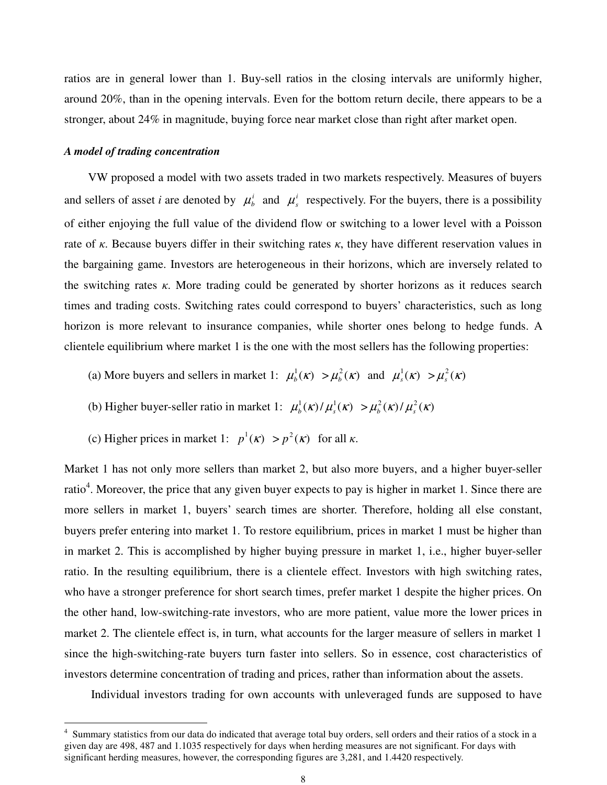ratios are in general lower than 1. Buy-sell ratios in the closing intervals are uniformly higher, around 20%, than in the opening intervals. Even for the bottom return decile, there appears to be a stronger, about 24% in magnitude, buying force near market close than right after market open.

#### *A model of trading concentration*

 $\overline{a}$ 

 VW proposed a model with two assets traded in two markets respectively. Measures of buyers and sellers of asset *i* are denoted by  $\mu_b^i$  and  $\mu_s^i$  respectively. For the buyers, there is a possibility of either enjoying the full value of the dividend flow or switching to a lower level with a Poisson rate of  $\kappa$ . Because buyers differ in their switching rates  $\kappa$ , they have different reservation values in the bargaining game. Investors are heterogeneous in their horizons, which are inversely related to the switching rates  $\kappa$ . More trading could be generated by shorter horizons as it reduces search times and trading costs. Switching rates could correspond to buyers' characteristics, such as long horizon is more relevant to insurance companies, while shorter ones belong to hedge funds. A clientele equilibrium where market 1 is the one with the most sellers has the following properties:

- (a) More buyers and sellers in market 1:  $\mu_b^1(\kappa) > \mu_b^2(\kappa)$  and  $\mu_s^1(\kappa) > \mu_s^2(\kappa)$
- (b) Higher buyer-seller ratio in market 1:  $\mu_b^1(\kappa) / \mu_s^1(\kappa) > \mu_b^2(\kappa) / \mu_s^2(\kappa)$
- (c) Higher prices in market 1:  $p^1(k) > p^2(k)$  for all  $\kappa$ .

Market 1 has not only more sellers than market 2, but also more buyers, and a higher buyer-seller ratio<sup>4</sup>. Moreover, the price that any given buyer expects to pay is higher in market 1. Since there are more sellers in market 1, buyers' search times are shorter. Therefore, holding all else constant, buyers prefer entering into market 1. To restore equilibrium, prices in market 1 must be higher than in market 2. This is accomplished by higher buying pressure in market 1, i.e., higher buyer-seller ratio. In the resulting equilibrium, there is a clientele effect. Investors with high switching rates, who have a stronger preference for short search times, prefer market 1 despite the higher prices. On the other hand, low-switching-rate investors, who are more patient, value more the lower prices in market 2. The clientele effect is, in turn, what accounts for the larger measure of sellers in market 1 since the high-switching-rate buyers turn faster into sellers. So in essence, cost characteristics of investors determine concentration of trading and prices, rather than information about the assets.

Individual investors trading for own accounts with unleveraged funds are supposed to have

<sup>4</sup> Summary statistics from our data do indicated that average total buy orders, sell orders and their ratios of a stock in a given day are 498, 487 and 1.1035 respectively for days when herding measures are not significant. For days with significant herding measures, however, the corresponding figures are 3,281, and 1.4420 respectively.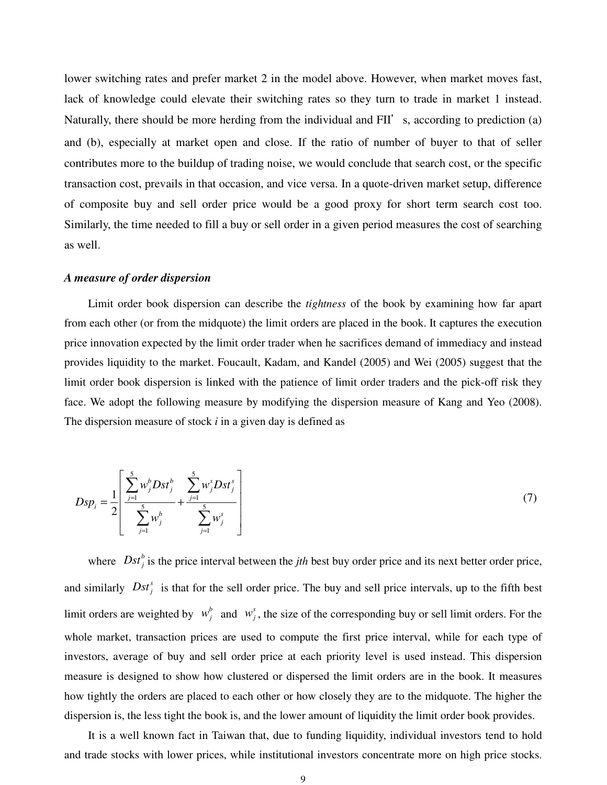lower switching rates and prefer market 2 in the model above. However, when market moves fast, lack of knowledge could elevate their switching rates so they turn to trade in market 1 instead. Naturally, there should be more herding from the individual and FII's, according to prediction (a) and (b), especially at market open and close. If the ratio of number of buyer to that of seller contributes more to the buildup of trading noise, we would conclude that search cost, or the specific transaction cost, prevails in that occasion, and vice versa. In a quote-driven market setup, difference of composite buy and sell order price would be a good proxy for short term search cost too. Similarly, the time needed to fill a buy or sell order in a given period measures the cost of searching as well.

### *A measure of order dispersion*

Limit order book dispersion can describe the *tightness* of the book by examining how far apart from each other (or from the midquote) the limit orders are placed in the book. It captures the execution price innovation expected by the limit order trader when he sacrifices demand of immediacy and instead provides liquidity to the market. Foucault, Kadam, and Kandel (2005) and Wei (2005) suggest that the limit order book dispersion is linked with the patience of limit order traders and the pick-off risk they face. We adopt the following measure by modifying the dispersion measure of Kang and Yeo (2008). The dispersion measure of stock *i* in a given day is defined as

$$
Dsp_i = \frac{1}{2} \left[ \frac{\sum_{j=1}^{5} w_j^b Dst_j^b}{\sum_{j=1}^{5} w_j^b} + \frac{\sum_{j=1}^{5} w_j^s Dst_j^s}{\sum_{j=1}^{5} w_j^s} \right]
$$
(7)

where  $Dst_j^b$  is the price interval between the *jth* best buy order price and its next better order price, and similarly  $Dst_j^s$  is that for the sell order price. The buy and sell price intervals, up to the fifth best limit orders are weighted by  $w_j^b$  and  $w_j^s$ , the size of the corresponding buy or sell limit orders. For the whole market, transaction prices are used to compute the first price interval, while for each type of investors, average of buy and sell order price at each priority level is used instead. This dispersion measure is designed to show how clustered or dispersed the limit orders are in the book. It measures how tightly the orders are placed to each other or how closely they are to the midquote. The higher the dispersion is, the less tight the book is, and the lower amount of liquidity the limit order book provides.

It is a well known fact in Taiwan that, due to funding liquidity, individual investors tend to hold and trade stocks with lower prices, while institutional investors concentrate more on high price stocks.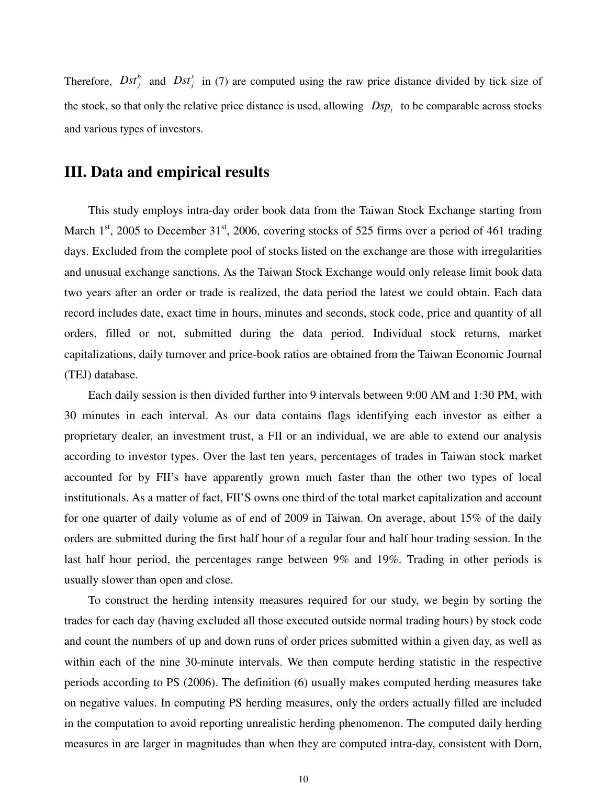Therefore,  $Dst_j^b$  and  $Dst_j^s$  in (7) are computed using the raw price distance divided by tick size of the stock, so that only the relative price distance is used, allowing  $\langle Dsp_i \rangle$  to be comparable across stocks and various types of investors.

# **III. Data and empirical results**

This study employs intra-day order book data from the Taiwan Stock Exchange starting from March  $1<sup>st</sup>$ , 2005 to December  $31<sup>st</sup>$ , 2006, covering stocks of 525 firms over a period of 461 trading days. Excluded from the complete pool of stocks listed on the exchange are those with irregularities and unusual exchange sanctions. As the Taiwan Stock Exchange would only release limit book data two years after an order or trade is realized, the data period the latest we could obtain. Each data record includes date, exact time in hours, minutes and seconds, stock code, price and quantity of all orders, filled or not, submitted during the data period. Individual stock returns, market capitalizations, daily turnover and price-book ratios are obtained from the Taiwan Economic Journal (TEJ) database.

Each daily session is then divided further into 9 intervals between 9:00 AM and 1:30 PM, with 30 minutes in each interval. As our data contains flags identifying each investor as either a proprietary dealer, an investment trust, a FII or an individual, we are able to extend our analysis according to investor types. Over the last ten years, percentages of trades in Taiwan stock market accounted for by FII's have apparently grown much faster than the other two types of local institutionals. As a matter of fact, FII'S owns one third of the total market capitalization and account for one quarter of daily volume as of end of 2009 in Taiwan. On average, about 15% of the daily orders are submitted during the first half hour of a regular four and half hour trading session. In the last half hour period, the percentages range between 9% and 19%. Trading in other periods is usually slower than open and close.

To construct the herding intensity measures required for our study, we begin by sorting the trades for each day (having excluded all those executed outside normal trading hours) by stock code and count the numbers of up and down runs of order prices submitted within a given day, as well as within each of the nine 30-minute intervals. We then compute herding statistic in the respective periods according to PS (2006). The definition (6) usually makes computed herding measures take on negative values. In computing PS herding measures, only the orders actually filled are included in the computation to avoid reporting unrealistic herding phenomenon. The computed daily herding measures in are larger in magnitudes than when they are computed intra-day, consistent with Dorn,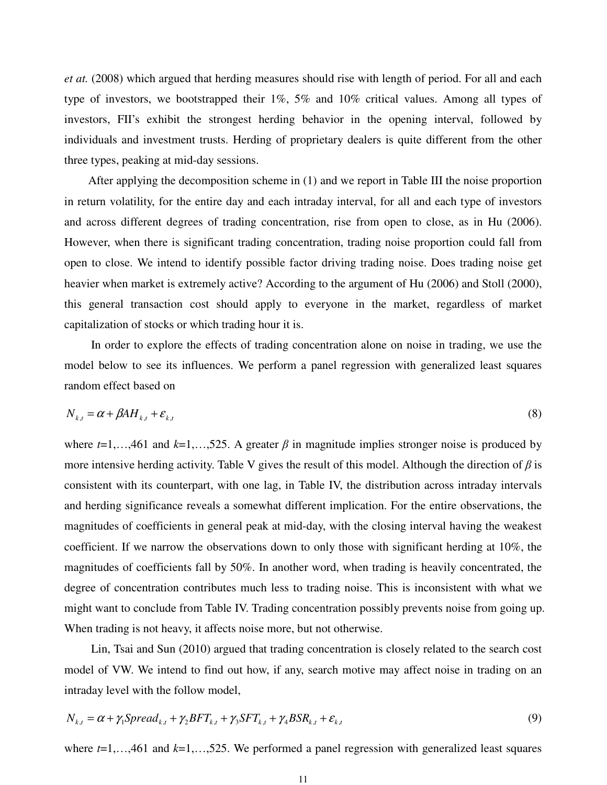*et at.* (2008) which argued that herding measures should rise with length of period. For all and each type of investors, we bootstrapped their 1%, 5% and 10% critical values. Among all types of investors, FII's exhibit the strongest herding behavior in the opening interval, followed by individuals and investment trusts. Herding of proprietary dealers is quite different from the other three types, peaking at mid-day sessions.

After applying the decomposition scheme in (1) and we report in Table III the noise proportion in return volatility, for the entire day and each intraday interval, for all and each type of investors and across different degrees of trading concentration, rise from open to close, as in Hu (2006). However, when there is significant trading concentration, trading noise proportion could fall from open to close. We intend to identify possible factor driving trading noise. Does trading noise get heavier when market is extremely active? According to the argument of Hu (2006) and Stoll (2000), this general transaction cost should apply to everyone in the market, regardless of market capitalization of stocks or which trading hour it is.

In order to explore the effects of trading concentration alone on noise in trading, we use the model below to see its influences. We perform a panel regression with generalized least squares random effect based on

$$
N_{k,t} = \alpha + \beta A H_{k,t} + \varepsilon_{k,t} \tag{8}
$$

where  $t=1,...,461$  and  $k=1,...,525$ . A greater  $\beta$  in magnitude implies stronger noise is produced by more intensive herding activity. Table V gives the result of this model. Although the direction of  $\beta$  is consistent with its counterpart, with one lag, in Table IV, the distribution across intraday intervals and herding significance reveals a somewhat different implication. For the entire observations, the magnitudes of coefficients in general peak at mid-day, with the closing interval having the weakest coefficient. If we narrow the observations down to only those with significant herding at 10%, the magnitudes of coefficients fall by 50%. In another word, when trading is heavily concentrated, the degree of concentration contributes much less to trading noise. This is inconsistent with what we might want to conclude from Table IV. Trading concentration possibly prevents noise from going up. When trading is not heavy, it affects noise more, but not otherwise.

Lin, Tsai and Sun (2010) argued that trading concentration is closely related to the search cost model of VW. We intend to find out how, if any, search motive may affect noise in trading on an intraday level with the follow model,

$$
N_{k,t} = \alpha + \gamma_1 \text{Spread}_{k,t} + \gamma_2 \text{BFT}_{k,t} + \gamma_3 \text{SFT}_{k,t} + \gamma_4 \text{BSR}_{k,t} + \varepsilon_{k,t}
$$
\n
$$
\tag{9}
$$

where  $t=1,\ldots,461$  and  $k=1,\ldots,525$ . We performed a panel regression with generalized least squares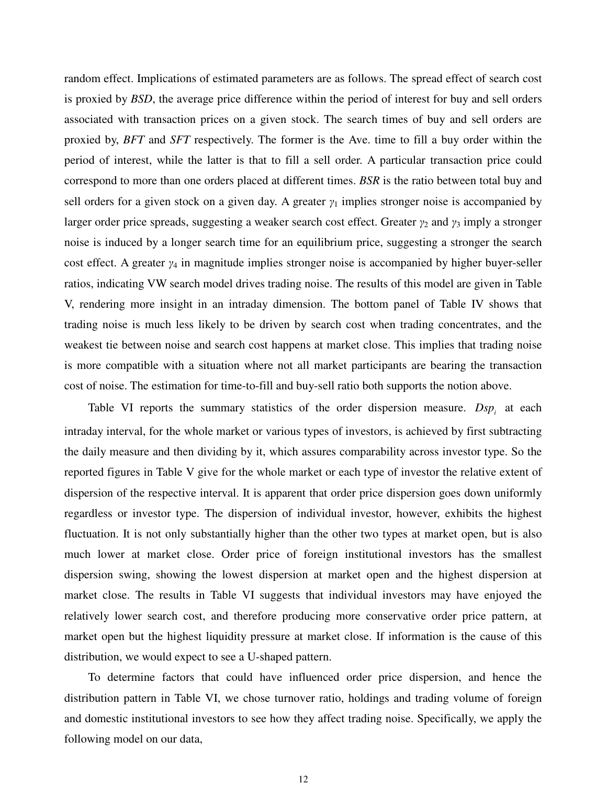random effect. Implications of estimated parameters are as follows. The spread effect of search cost is proxied by *BSD*, the average price difference within the period of interest for buy and sell orders associated with transaction prices on a given stock. The search times of buy and sell orders are proxied by, *BFT* and *SFT* respectively. The former is the Ave. time to fill a buy order within the period of interest, while the latter is that to fill a sell order. A particular transaction price could correspond to more than one orders placed at different times. *BSR* is the ratio between total buy and sell orders for a given stock on a given day. A greater  $\gamma_1$  implies stronger noise is accompanied by larger order price spreads, suggesting a weaker search cost effect. Greater  $\gamma_2$  and  $\gamma_3$  imply a stronger noise is induced by a longer search time for an equilibrium price, suggesting a stronger the search cost effect. A greater  $y_4$  in magnitude implies stronger noise is accompanied by higher buyer-seller ratios, indicating VW search model drives trading noise. The results of this model are given in Table V, rendering more insight in an intraday dimension. The bottom panel of Table IV shows that trading noise is much less likely to be driven by search cost when trading concentrates, and the weakest tie between noise and search cost happens at market close. This implies that trading noise is more compatible with a situation where not all market participants are bearing the transaction cost of noise. The estimation for time-to-fill and buy-sell ratio both supports the notion above.

Table VI reports the summary statistics of the order dispersion measure.  $Dsp_i$  at each intraday interval, for the whole market or various types of investors, is achieved by first subtracting the daily measure and then dividing by it, which assures comparability across investor type. So the reported figures in Table V give for the whole market or each type of investor the relative extent of dispersion of the respective interval. It is apparent that order price dispersion goes down uniformly regardless or investor type. The dispersion of individual investor, however, exhibits the highest fluctuation. It is not only substantially higher than the other two types at market open, but is also much lower at market close. Order price of foreign institutional investors has the smallest dispersion swing, showing the lowest dispersion at market open and the highest dispersion at market close. The results in Table VI suggests that individual investors may have enjoyed the relatively lower search cost, and therefore producing more conservative order price pattern, at market open but the highest liquidity pressure at market close. If information is the cause of this distribution, we would expect to see a U-shaped pattern.

 To determine factors that could have influenced order price dispersion, and hence the distribution pattern in Table VI, we chose turnover ratio, holdings and trading volume of foreign and domestic institutional investors to see how they affect trading noise. Specifically, we apply the following model on our data,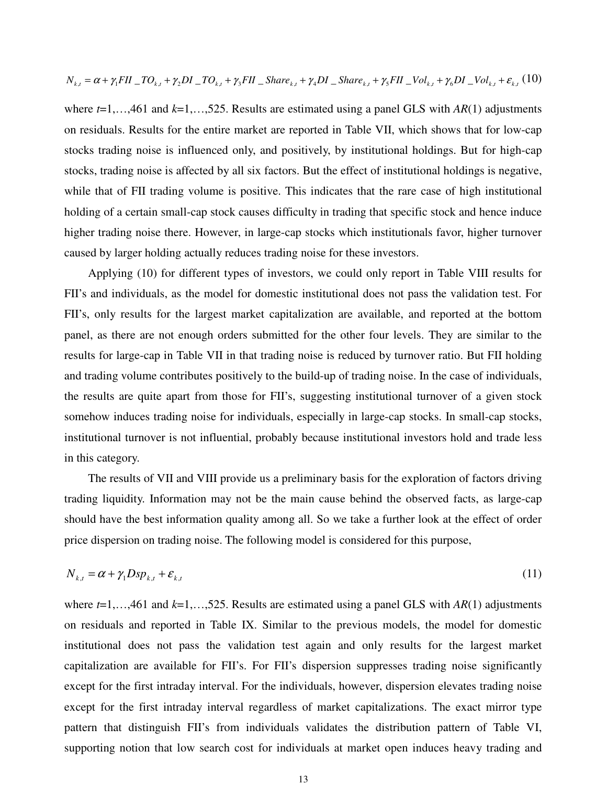$$
N_{k,t} = \alpha + \gamma_1 FII \cdot TOL_{k,t} + \gamma_2 DI \cdot TOL_{k,t} + \gamma_3 FII \cdot Share_{k,t} + \gamma_4 DI \cdot Share_{k,t} + \gamma_5 FII \cdot Vol_{k,t} + \gamma_6 DI \cdot Vol_{k,t} + \varepsilon_{k,t}
$$
 (10)

where *t*=1,…,461 and *k*=1,…,525. Results are estimated using a panel GLS with *AR*(1) adjustments on residuals. Results for the entire market are reported in Table VII, which shows that for low-cap stocks trading noise is influenced only, and positively, by institutional holdings. But for high-cap stocks, trading noise is affected by all six factors. But the effect of institutional holdings is negative, while that of FII trading volume is positive. This indicates that the rare case of high institutional holding of a certain small-cap stock causes difficulty in trading that specific stock and hence induce higher trading noise there. However, in large-cap stocks which institutionals favor, higher turnover caused by larger holding actually reduces trading noise for these investors.

Applying (10) for different types of investors, we could only report in Table VIII results for FII's and individuals, as the model for domestic institutional does not pass the validation test. For FII's, only results for the largest market capitalization are available, and reported at the bottom panel, as there are not enough orders submitted for the other four levels. They are similar to the results for large-cap in Table VII in that trading noise is reduced by turnover ratio. But FII holding and trading volume contributes positively to the build-up of trading noise. In the case of individuals, the results are quite apart from those for FII's, suggesting institutional turnover of a given stock somehow induces trading noise for individuals, especially in large-cap stocks. In small-cap stocks, institutional turnover is not influential, probably because institutional investors hold and trade less in this category.

The results of VII and VIII provide us a preliminary basis for the exploration of factors driving trading liquidity. Information may not be the main cause behind the observed facts, as large-cap should have the best information quality among all. So we take a further look at the effect of order price dispersion on trading noise. The following model is considered for this purpose,

$$
N_{k,t} = \alpha + \gamma_1 D \mathrm{sp}_{k,t} + \varepsilon_{k,t} \tag{11}
$$

where *t*=1,…,461 and *k*=1,…,525. Results are estimated using a panel GLS with *AR*(1) adjustments on residuals and reported in Table IX. Similar to the previous models, the model for domestic institutional does not pass the validation test again and only results for the largest market capitalization are available for FII's. For FII's dispersion suppresses trading noise significantly except for the first intraday interval. For the individuals, however, dispersion elevates trading noise except for the first intraday interval regardless of market capitalizations. The exact mirror type pattern that distinguish FII's from individuals validates the distribution pattern of Table VI, supporting notion that low search cost for individuals at market open induces heavy trading and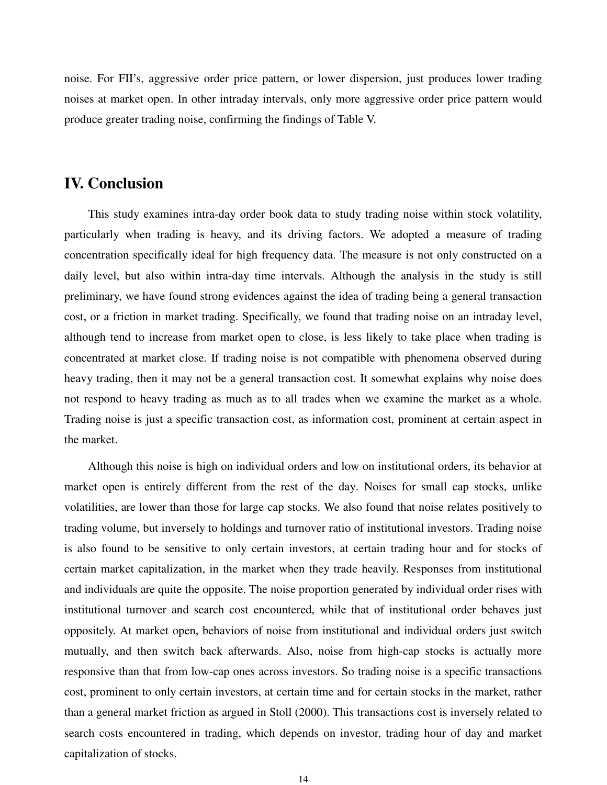noise. For FII's, aggressive order price pattern, or lower dispersion, just produces lower trading noises at market open. In other intraday intervals, only more aggressive order price pattern would produce greater trading noise, confirming the findings of Table V.

# **IV. Conclusion**

This study examines intra-day order book data to study trading noise within stock volatility, particularly when trading is heavy, and its driving factors. We adopted a measure of trading concentration specifically ideal for high frequency data. The measure is not only constructed on a daily level, but also within intra-day time intervals. Although the analysis in the study is still preliminary, we have found strong evidences against the idea of trading being a general transaction cost, or a friction in market trading. Specifically, we found that trading noise on an intraday level, although tend to increase from market open to close, is less likely to take place when trading is concentrated at market close. If trading noise is not compatible with phenomena observed during heavy trading, then it may not be a general transaction cost. It somewhat explains why noise does not respond to heavy trading as much as to all trades when we examine the market as a whole. Trading noise is just a specific transaction cost, as information cost, prominent at certain aspect in the market.

Although this noise is high on individual orders and low on institutional orders, its behavior at market open is entirely different from the rest of the day. Noises for small cap stocks, unlike volatilities, are lower than those for large cap stocks. We also found that noise relates positively to trading volume, but inversely to holdings and turnover ratio of institutional investors. Trading noise is also found to be sensitive to only certain investors, at certain trading hour and for stocks of certain market capitalization, in the market when they trade heavily. Responses from institutional and individuals are quite the opposite. The noise proportion generated by individual order rises with institutional turnover and search cost encountered, while that of institutional order behaves just oppositely. At market open, behaviors of noise from institutional and individual orders just switch mutually, and then switch back afterwards. Also, noise from high-cap stocks is actually more responsive than that from low-cap ones across investors. So trading noise is a specific transactions cost, prominent to only certain investors, at certain time and for certain stocks in the market, rather than a general market friction as argued in Stoll (2000). This transactions cost is inversely related to search costs encountered in trading, which depends on investor, trading hour of day and market capitalization of stocks.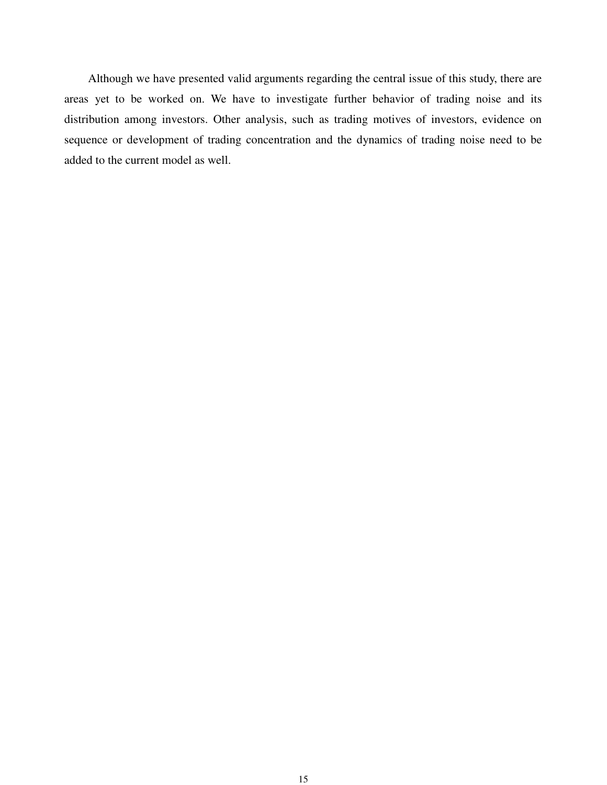Although we have presented valid arguments regarding the central issue of this study, there are areas yet to be worked on. We have to investigate further behavior of trading noise and its distribution among investors. Other analysis, such as trading motives of investors, evidence on sequence or development of trading concentration and the dynamics of trading noise need to be added to the current model as well.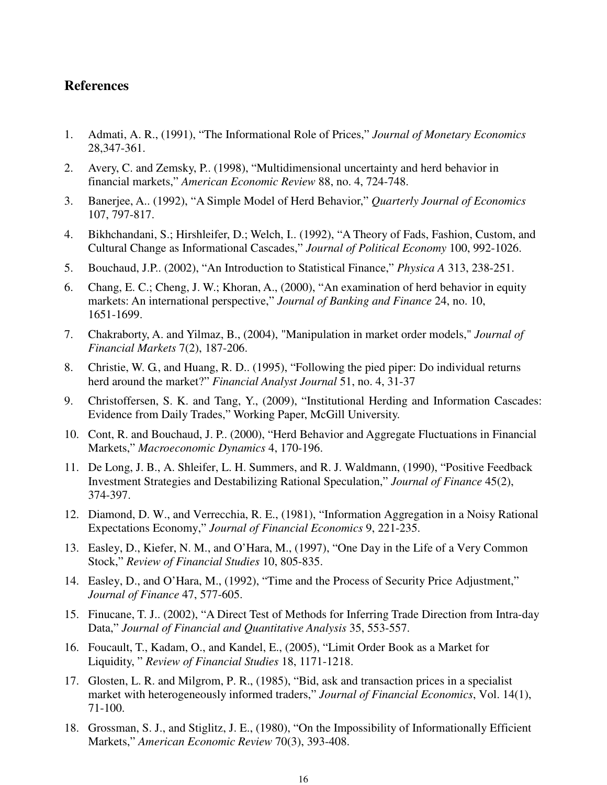## **References**

- 1. Admati, A. R., (1991), "The Informational Role of Prices," *Journal of Monetary Economics*  28,347-361.
- 2. Avery, C. and Zemsky, P.. (1998), "Multidimensional uncertainty and herd behavior in financial markets," *American Economic Review* 88, no. 4, 724-748.
- 3. Banerjee, A.. (1992), "A Simple Model of Herd Behavior," *Quarterly Journal of Economics* 107, 797-817.
- 4. Bikhchandani, S.; Hirshleifer, D.; Welch, I.. (1992), "A Theory of Fads, Fashion, Custom, and Cultural Change as Informational Cascades," *Journal of Political Economy* 100, 992-1026.
- 5. Bouchaud, J.P.. (2002), "An Introduction to Statistical Finance," *Physica A* 313, 238-251.
- 6. Chang, E. C.; Cheng, J. W.; Khoran, A., (2000), "An examination of herd behavior in equity markets: An international perspective," *Journal of Banking and Finance* 24, no. 10, 1651-1699.
- 7. Chakraborty, A. and Yilmaz, B., (2004), "Manipulation in market order models," *Journal of Financial Markets* 7(2), 187-206.
- 8. Christie, W. G., and Huang, R. D.. (1995), "Following the pied piper: Do individual returns herd around the market?" *Financial Analyst Journal* 51, no. 4, 31-37
- 9. Christoffersen, S. K. and Tang, Y., (2009), "Institutional Herding and Information Cascades: Evidence from Daily Trades," Working Paper, McGill University.
- 10. Cont, R. and Bouchaud, J. P.. (2000), "Herd Behavior and Aggregate Fluctuations in Financial Markets," *Macroeconomic Dynamics* 4, 170-196.
- 11. De Long, J. B., A. Shleifer, L. H. Summers, and R. J. Waldmann, (1990), "Positive Feedback Investment Strategies and Destabilizing Rational Speculation," *Journal of Finance* 45(2), 374-397.
- 12. Diamond, D. W., and Verrecchia, R. E., (1981), "Information Aggregation in a Noisy Rational Expectations Economy," *Journal of Financial Economics* 9, 221-235.
- 13. Easley, D., Kiefer, N. M., and O'Hara, M., (1997), "One Day in the Life of a Very Common Stock," *Review of Financial Studies* 10, 805-835.
- 14. Easley, D., and O'Hara, M., (1992), "Time and the Process of Security Price Adjustment," *Journal of Finance* 47, 577-605.
- 15. Finucane, T. J.. (2002), "A Direct Test of Methods for Inferring Trade Direction from Intra-day Data," *Journal of Financial and Quantitative Analysis* 35, 553-557.
- 16. Foucault, T., Kadam, O., and Kandel, E., (2005), "Limit Order Book as a Market for Liquidity, " *Review of Financial Studies* 18, 1171-1218.
- 17. Glosten, L. R. and Milgrom, P. R., (1985), "Bid, ask and transaction prices in a specialist market with heterogeneously informed traders," *Journal of Financial Economics*, Vol. 14(1), 71-100.
- 18. Grossman, S. J., and Stiglitz, J. E., (1980), "On the Impossibility of Informationally Efficient Markets," *American Economic Review* 70(3), 393-408.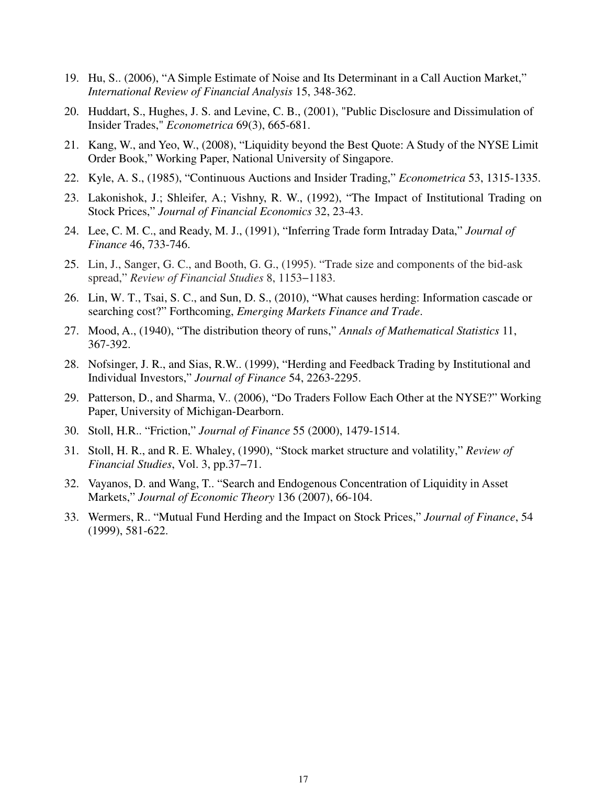- 19. Hu, S.. (2006), "A Simple Estimate of Noise and Its Determinant in a Call Auction Market," *International Review of Financial Analysis* 15, 348-362.
- 20. Huddart, S., Hughes, J. S. and Levine, C. B., (2001), "Public Disclosure and Dissimulation of Insider Trades," *Econometrica* 69(3), 665-681.
- 21. Kang, W., and Yeo, W., (2008), "Liquidity beyond the Best Quote: A Study of the NYSE Limit Order Book," Working Paper, National University of Singapore.
- 22. Kyle, A. S., (1985), "Continuous Auctions and Insider Trading," *Econometrica* 53, 1315-1335.
- 23. Lakonishok, J.; Shleifer, A.; Vishny, R. W., (1992), "The Impact of Institutional Trading on Stock Prices," *Journal of Financial Economics* 32, 23-43.
- 24. Lee, C. M. C., and Ready, M. J., (1991), "Inferring Trade form Intraday Data," *Journal of Finance* 46, 733-746.
- 25. Lin, J., Sanger, G. C., and Booth, G. G., (1995). "Trade size and components of the bid-ask spread," *Review of Financial Studies* 8, 1153−1183.
- 26. Lin, W. T., Tsai, S. C., and Sun, D. S., (2010), "What causes herding: Information cascade or searching cost?" Forthcoming, *Emerging Markets Finance and Trade*.
- 27. Mood, A., (1940), "The distribution theory of runs," *Annals of Mathematical Statistics* 11, 367-392.
- 28. Nofsinger, J. R., and Sias, R.W.. (1999), "Herding and Feedback Trading by Institutional and Individual Investors," *Journal of Finance* 54, 2263-2295.
- 29. Patterson, D., and Sharma, V.. (2006), "Do Traders Follow Each Other at the NYSE?" Working Paper, University of Michigan-Dearborn.
- 30. Stoll, H.R.. "Friction," *Journal of Finance* 55 (2000), 1479-1514.
- 31. Stoll, H. R., and R. E. Whaley, (1990), "Stock market structure and volatility," *Review of Financial Studies*, Vol. 3, pp.37−71.
- 32. Vayanos, D. and Wang, T.. "Search and Endogenous Concentration of Liquidity in Asset Markets," *Journal of Economic Theory* 136 (2007), 66-104.
- 33. Wermers, R.. "Mutual Fund Herding and the Impact on Stock Prices," *Journal of Finance*, 54 (1999), 581-622.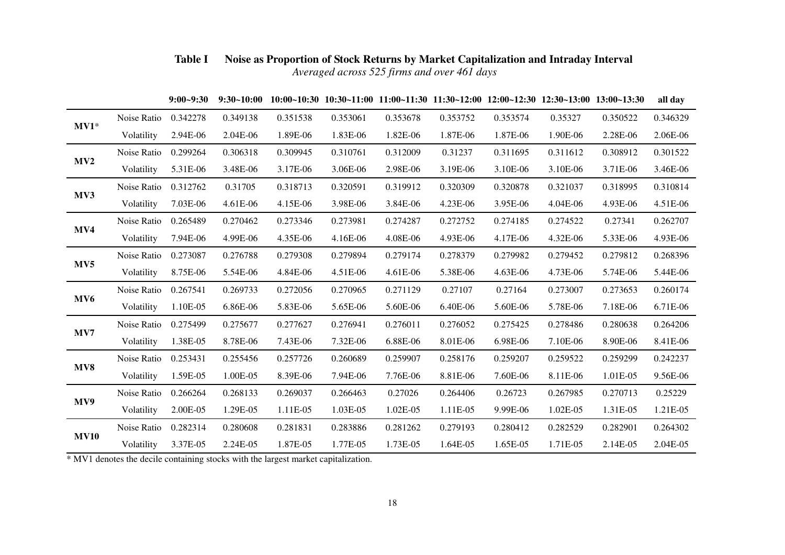|                 |             | $9:00 - 9:30$ | $9:30-10:00$ |          |          |          | $10:00~10:30$ $10:30~11:00$ $11:00~11:30$ $11:30~12:00$ $12:00~12:30$ $12:30~13:00$ $13:00~13:30$ |          |          |          | all day  |
|-----------------|-------------|---------------|--------------|----------|----------|----------|---------------------------------------------------------------------------------------------------|----------|----------|----------|----------|
|                 | Noise Ratio | 0.342278      | 0.349138     | 0.351538 | 0.353061 | 0.353678 | 0.353752                                                                                          | 0.353574 | 0.35327  | 0.350522 | 0.346329 |
| $MV1*$          | Volatility  | 2.94E-06      | 2.04E-06     | 1.89E-06 | 1.83E-06 | 1.82E-06 | 1.87E-06                                                                                          | 1.87E-06 | 1.90E-06 | 2.28E-06 | 2.06E-06 |
|                 | Noise Ratio | 0.299264      | 0.306318     | 0.309945 | 0.310761 | 0.312009 | 0.31237                                                                                           | 0.311695 | 0.311612 | 0.308912 | 0.301522 |
| MV2             | Volatility  | 5.31E-06      | 3.48E-06     | 3.17E-06 | 3.06E-06 | 2.98E-06 | 3.19E-06                                                                                          | 3.10E-06 | 3.10E-06 | 3.71E-06 | 3.46E-06 |
|                 | Noise Ratio | 0.312762      | 0.31705      | 0.318713 | 0.320591 | 0.319912 | 0.320309                                                                                          | 0.320878 | 0.321037 | 0.318995 | 0.310814 |
| MV3             | Volatility  | 7.03E-06      | 4.61E-06     | 4.15E-06 | 3.98E-06 | 3.84E-06 | 4.23E-06                                                                                          | 3.95E-06 | 4.04E-06 | 4.93E-06 | 4.51E-06 |
| MV4             | Noise Ratio | 0.265489      | 0.270462     | 0.273346 | 0.273981 | 0.274287 | 0.272752                                                                                          | 0.274185 | 0.274522 | 0.27341  | 0.262707 |
|                 | Volatility  | 7.94E-06      | 4.99E-06     | 4.35E-06 | 4.16E-06 | 4.08E-06 | 4.93E-06                                                                                          | 4.17E-06 | 4.32E-06 | 5.33E-06 | 4.93E-06 |
| MV5             | Noise Ratio | 0.273087      | 0.276788     | 0.279308 | 0.279894 | 0.279174 | 0.278379                                                                                          | 0.279982 | 0.279452 | 0.279812 | 0.268396 |
|                 | Volatility  | 8.75E-06      | 5.54E-06     | 4.84E-06 | 4.51E-06 | 4.61E-06 | 5.38E-06                                                                                          | 4.63E-06 | 4.73E-06 | 5.74E-06 | 5.44E-06 |
| MV <sub>6</sub> | Noise Ratio | 0.267541      | 0.269733     | 0.272056 | 0.270965 | 0.271129 | 0.27107                                                                                           | 0.27164  | 0.273007 | 0.273653 | 0.260174 |
|                 | Volatility  | 1.10E-05      | 6.86E-06     | 5.83E-06 | 5.65E-06 | 5.60E-06 | 6.40E-06                                                                                          | 5.60E-06 | 5.78E-06 | 7.18E-06 | 6.71E-06 |
| MV7             | Noise Ratio | 0.275499      | 0.275677     | 0.277627 | 0.276941 | 0.276011 | 0.276052                                                                                          | 0.275425 | 0.278486 | 0.280638 | 0.264206 |
|                 | Volatility  | 1.38E-05      | 8.78E-06     | 7.43E-06 | 7.32E-06 | 6.88E-06 | 8.01E-06                                                                                          | 6.98E-06 | 7.10E-06 | 8.90E-06 | 8.41E-06 |
| MV8             | Noise Ratio | 0.253431      | 0.255456     | 0.257726 | 0.260689 | 0.259907 | 0.258176                                                                                          | 0.259207 | 0.259522 | 0.259299 | 0.242237 |
|                 | Volatility  | 1.59E-05      | 1.00E-05     | 8.39E-06 | 7.94E-06 | 7.76E-06 | 8.81E-06                                                                                          | 7.60E-06 | 8.11E-06 | 1.01E-05 | 9.56E-06 |
| MV9             | Noise Ratio | 0.266264      | 0.268133     | 0.269037 | 0.266463 | 0.27026  | 0.264406                                                                                          | 0.26723  | 0.267985 | 0.270713 | 0.25229  |
|                 | Volatility  | 2.00E-05      | 1.29E-05     | 1.11E-05 | 1.03E-05 | 1.02E-05 | 1.11E-05                                                                                          | 9.99E-06 | 1.02E-05 | 1.31E-05 | 1.21E-05 |
| <b>MV10</b>     | Noise Ratio | 0.282314      | 0.280608     | 0.281831 | 0.283886 | 0.281262 | 0.279193                                                                                          | 0.280412 | 0.282529 | 0.282901 | 0.264302 |
|                 | Volatility  | 3.37E-05      | 2.24E-05     | 1.87E-05 | 1.77E-05 | 1.73E-05 | 1.64E-05                                                                                          | 1.65E-05 | 1.71E-05 | 2.14E-05 | 2.04E-05 |

## **Table I Noise as Proportion of Stock Returns by Market Capitalization and Intraday Interval**  *Averaged across 525 firms and over 461 days*

\* MV1 denotes the decile containing stocks with the largest market capitalization.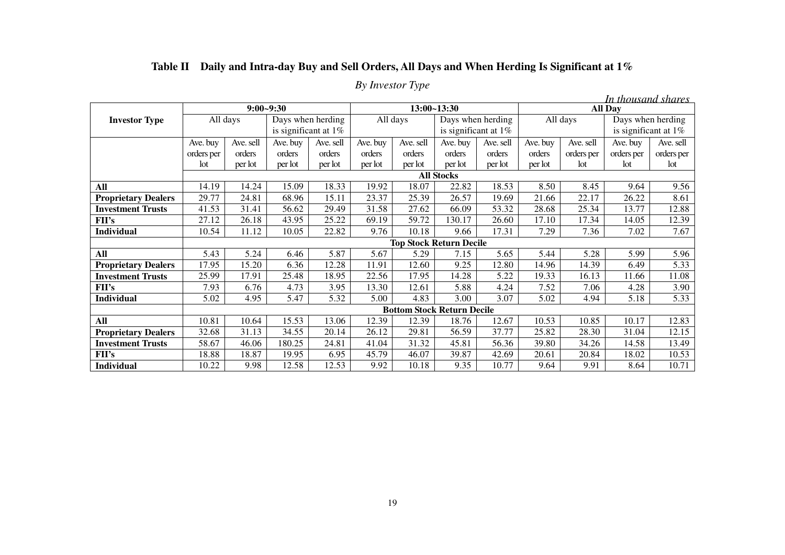|  |  | Table II Daily and Intra-day Buy and Sell Orders, All Days and When Herding Is Significant at 1% |
|--|--|--------------------------------------------------------------------------------------------------|
|  |  |                                                                                                  |

| By Investor Type |  |
|------------------|--|
|------------------|--|

|                            |            |               |                         |           |          |             |                                   |                   |          |            | In thousand shares   |                   |
|----------------------------|------------|---------------|-------------------------|-----------|----------|-------------|-----------------------------------|-------------------|----------|------------|----------------------|-------------------|
|                            |            | $9:00 - 9:30$ |                         |           |          | 13:00~13:30 |                                   |                   |          |            | <b>All Day</b>       |                   |
| <b>Investor Type</b>       |            | All days      | Days when herding       |           |          | All days    |                                   | Days when herding |          | All days   |                      | Days when herding |
|                            |            |               | is significant at $1\%$ |           |          |             | is significant at 1%              |                   |          |            | is significant at 1% |                   |
|                            | Ave. buy   | Ave. sell     | Ave. buy                | Ave. sell | Ave. buy | Ave. sell   | Ave. buy                          | Ave. sell         | Ave. buy | Ave. sell  | Ave. buy             | Ave. sell         |
|                            | orders per | orders        | orders                  | orders    | orders   | orders      | orders                            | orders            | orders   | orders per | orders per           | orders per        |
|                            | lot        | per lot       | per lot                 | per lot   | per lot  | per lot     | per lot                           | per lot           | per lot  | lot        | lot                  | lot               |
|                            |            |               |                         |           |          |             | <b>All Stocks</b>                 |                   |          |            |                      |                   |
| All                        | 14.19      | 14.24         | 15.09                   | 18.33     | 19.92    | 18.07       | 22.82                             | 18.53             | 8.50     | 8.45       | 9.64                 | 9.56              |
| <b>Proprietary Dealers</b> | 29.77      | 24.81         | 68.96                   | 15.11     | 23.37    | 25.39       | 26.57                             | 19.69             | 21.66    | 22.17      | 26.22                | 8.61              |
| <b>Investment Trusts</b>   | 41.53      | 31.41         | 56.62                   | 29.49     | 31.58    | 27.62       | 66.09                             | 53.32             | 28.68    | 25.34      | 13.77                | 12.88             |
| <b>FII's</b>               | 27.12      | 26.18         | 43.95                   | 25.22     | 69.19    | 59.72       | 130.17                            | 26.60             | 17.10    | 17.34      | 14.05                | 12.39             |
| <b>Individual</b>          | 10.54      | 11.12         | 10.05                   | 22.82     | 9.76     | 10.18       | 9.66                              | 17.31             | 7.29     | 7.36       | 7.02                 | 7.67              |
|                            |            |               |                         |           |          |             | <b>Top Stock Return Decile</b>    |                   |          |            |                      |                   |
| All                        | 5.43       | 5.24          | 6.46                    | 5.87      | 5.67     | 5.29        | 7.15                              | 5.65              | 5.44     | 5.28       | 5.99                 | 5.96              |
| <b>Proprietary Dealers</b> | 17.95      | 15.20         | 6.36                    | 12.28     | 11.91    | 12.60       | 9.25                              | 12.80             | 14.96    | 14.39      | 6.49                 | 5.33              |
| <b>Investment Trusts</b>   | 25.99      | 17.91         | 25.48                   | 18.95     | 22.56    | 17.95       | 14.28                             | 5.22              | 19.33    | 16.13      | 11.66                | 11.08             |
| $\bf{FII's}$               | 7.93       | 6.76          | 4.73                    | 3.95      | 13.30    | 12.61       | 5.88                              | 4.24              | 7.52     | 7.06       | 4.28                 | 3.90              |
| Individual                 | 5.02       | 4.95          | 5.47                    | 5.32      | 5.00     | 4.83        | 3.00                              | 3.07              | 5.02     | 4.94       | 5.18                 | 5.33              |
|                            |            |               |                         |           |          |             | <b>Bottom Stock Return Decile</b> |                   |          |            |                      |                   |
| All                        | 10.81      | 10.64         | 15.53                   | 13.06     | 12.39    | 12.39       | 18.76                             | 12.67             | 10.53    | 10.85      | 10.17                | 12.83             |
| <b>Proprietary Dealers</b> | 32.68      | 31.13         | 34.55                   | 20.14     | 26.12    | 29.81       | 56.59                             | 37.77             | 25.82    | 28.30      | 31.04                | 12.15             |
| <b>Investment Trusts</b>   | 58.67      | 46.06         | 180.25                  | 24.81     | 41.04    | 31.32       | 45.81                             | 56.36             | 39.80    | 34.26      | 14.58                | 13.49             |
| $\bf{FII's}$               | 18.88      | 18.87         | 19.95                   | 6.95      | 45.79    | 46.07       | 39.87                             | 42.69             | 20.61    | 20.84      | 18.02                | 10.53             |
| <b>Individual</b>          | 10.22      | 9.98          | 12.58                   | 12.53     | 9.92     | 10.18       | 9.35                              | 10.77             | 9.64     | 9.91       | 8.64                 | 10.71             |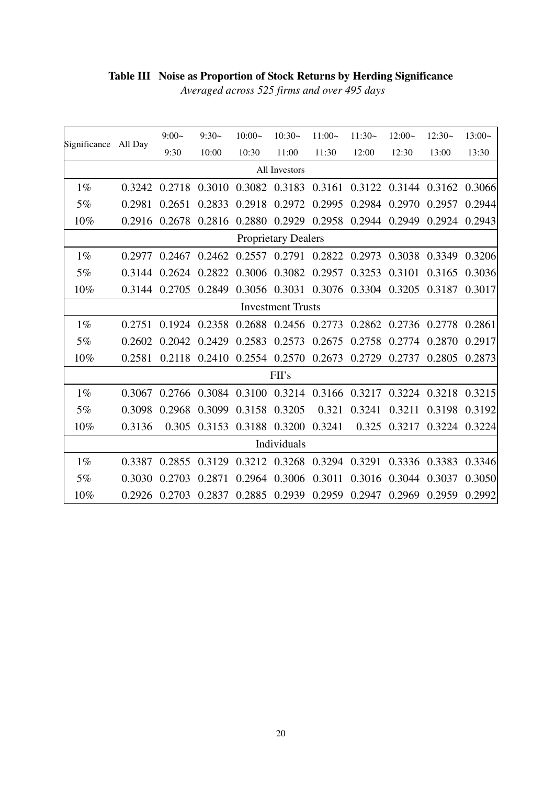# **Table III Noise as Proportion of Stock Returns by Herding Significance**

| Averaged across 525 firms and over 495 days |  |  |
|---------------------------------------------|--|--|
|---------------------------------------------|--|--|

| Significance               | All Day                  | $9:00-$       | $9:30-$                                   | $10:00-$      | $10:30-$                                  | $11:00-$ | $11:30-$ | $12:00-$             | $12:30-$                                                              | $13:00-$ |  |  |
|----------------------------|--------------------------|---------------|-------------------------------------------|---------------|-------------------------------------------|----------|----------|----------------------|-----------------------------------------------------------------------|----------|--|--|
|                            |                          | 9:30          | 10:00                                     | 10:30         | 11:00                                     | 11:30    | 12:00    | 12:30                | 13:00                                                                 | 13:30    |  |  |
|                            | All Investors            |               |                                           |               |                                           |          |          |                      |                                                                       |          |  |  |
| $1\%$                      |                          |               |                                           |               |                                           |          |          |                      | 0.3242 0.2718 0.3010 0.3082 0.3183 0.3161 0.3122 0.3144 0.3162 0.3066 |          |  |  |
| 5%                         | 0.2981                   | 0.2651        | 0.2833                                    | 0.2918        | 0.2972                                    | 0.2995   | 0.2984   | 0.2970               | 0.2957                                                                | 0.2944   |  |  |
| 10%                        | 0.2916                   | 0.2678        | 0.2816                                    |               | 0.2880 0.2929                             | 0.2958   | 0.2944   | 0.2949               | 0.2924                                                                | 0.2943   |  |  |
| <b>Proprietary Dealers</b> |                          |               |                                           |               |                                           |          |          |                      |                                                                       |          |  |  |
| $1\%$                      | 0.2977                   |               | 0.2467 0.2462 0.2557 0.2791 0.2822 0.2973 |               |                                           |          |          | 0.3038 0.3349        |                                                                       | 0.3206   |  |  |
| 5%                         | 0.3144                   | 0.2624        | 0.2822                                    |               | 0.3006 0.3082                             | 0.2957   | 0.3253   | 0.3101               | 0.3165                                                                | 0.3036   |  |  |
| $10\%$                     |                          | 0.3144 0.2705 | 0.2849                                    |               | 0.3056 0.3031 0.3076 0.3304 0.3205 0.3187 |          |          |                      |                                                                       | 0.3017   |  |  |
|                            | <b>Investment Trusts</b> |               |                                           |               |                                           |          |          |                      |                                                                       |          |  |  |
| $1\%$                      | 0.2751                   |               | 0.1924 0.2358                             |               | 0.2688 0.2456 0.2773                      |          |          | 0.2862 0.2736 0.2778 |                                                                       | 0.2861   |  |  |
| 5%                         | 0.2602                   | 0.2042        | 0.2429                                    | 0.2583        | 0.2573                                    | 0.2675   | 0.2758   | 0.2774               | 0.2870                                                                | 0.2917   |  |  |
| 10%                        | 0.2581                   | 0.2118        | 0.2410 0.2554 0.2570 0.2673               |               |                                           |          | 0.2729   | 0.2737               | 0.2805                                                                | 0.2873   |  |  |
|                            |                          |               |                                           |               | FH's                                      |          |          |                      |                                                                       |          |  |  |
| $1\%$                      | 0.3067                   |               |                                           |               |                                           |          |          |                      | 0.2766 0.3084 0.3100 0.3214 0.3166 0.3217 0.3224 0.3218 0.3215        |          |  |  |
| 5%                         | 0.3098                   | 0.2968        | 0.3099                                    | 0.3158 0.3205 |                                           | 0.321    | 0.3241   | 0.3211               | 0.3198                                                                | 0.3192   |  |  |
| 10%                        | 0.3136                   | 0.305         | 0.3153                                    |               | 0.3188 0.3200                             | 0.3241   | 0.325    | 0.3217               | 0.3224 0.3224                                                         |          |  |  |
|                            |                          |               |                                           |               | Individuals                               |          |          |                      |                                                                       |          |  |  |
| $1\%$                      | 0.3387                   |               | 0.2855 0.3129 0.3212 0.3268 0.3294        |               |                                           |          | 0.3291   |                      | 0.3336 0.3383                                                         | 0.3346   |  |  |
| 5%                         | 0.3030                   | 0.2703        | 0.2871                                    |               | 0.2964 0.3006                             | 0.3011   |          | 0.3016 0.3044        | 0.3037                                                                | 0.3050   |  |  |
| 10%                        | 0.2926                   | 0.2703        | 0.2837                                    |               | 0.2885 0.2939                             | 0.2959   | 0.2947   | 0.2969               | 0.2959                                                                | 0.2992   |  |  |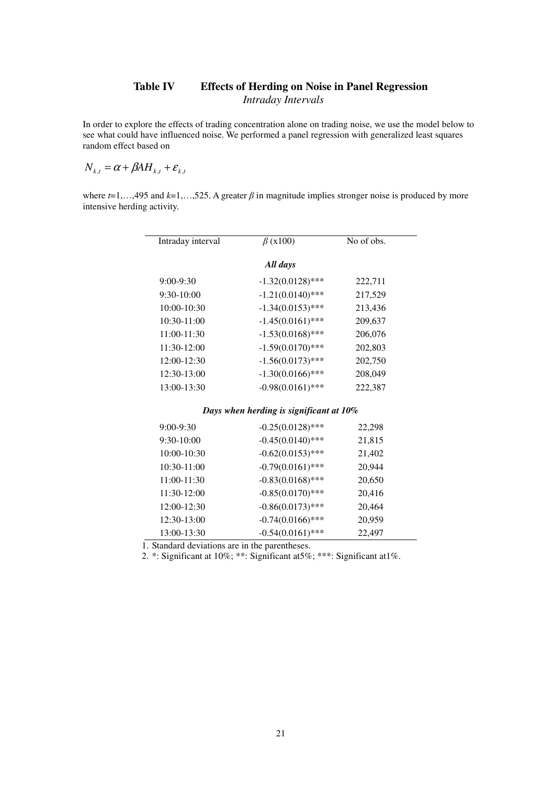## **Table IV Effects of Herding on Noise in Panel Regression**  *Intraday Intervals*

In order to explore the effects of trading concentration alone on trading noise, we use the model below to see what could have influenced noise. We performed a panel regression with generalized least squares random effect based on

$$
N_{k,t} = \alpha + \beta AH_{k,t} + \varepsilon_{k,t}
$$

where  $t=1,...,495$  and  $k=1,...,525$ . A greater  $\beta$  in magnitude implies stronger noise is produced by more intensive herding activity.

| Intraday interval                        | $\beta$ (x100)                          | No of obs. |  |  |  |  |  |
|------------------------------------------|-----------------------------------------|------------|--|--|--|--|--|
| All days                                 |                                         |            |  |  |  |  |  |
| 9:00-9:30                                | $-1.32(0.0128)$ ***                     | 222,711    |  |  |  |  |  |
| 9:30-10:00                               | $-1.21(0.0140)$ ***                     | 217,529    |  |  |  |  |  |
| 10:00-10:30                              | $-1.34(0.0153)$ ***                     | 213,436    |  |  |  |  |  |
| 10:30-11:00                              | $-1.45(0.0161)$ ***                     | 209,637    |  |  |  |  |  |
| 11:00-11:30                              | $-1.53(0.0168)$ ***                     | 206,076    |  |  |  |  |  |
| 11:30-12:00                              | $-1.59(0.0170)$ ***                     | 202,803    |  |  |  |  |  |
| 12:00-12:30                              | $-1.56(0.0173)$ ***                     | 202,750    |  |  |  |  |  |
| 12:30-13:00                              | $-1.30(0.0166)$ ***                     | 208,049    |  |  |  |  |  |
| 13:00-13:30                              | $-0.98(0.0161)$ ***                     | 222,387    |  |  |  |  |  |
|                                          | Days when herding is significant at 10% |            |  |  |  |  |  |
| 9:00-9:30                                | $-0.25(0.0128)$ ***                     | 22,298     |  |  |  |  |  |
| 9:30-10:00                               | $-0.45(0.0140)$ ***                     | 21,815     |  |  |  |  |  |
| 10:00-10:30                              | $-0.62(0.0153)$ ***                     | 21,402     |  |  |  |  |  |
| 10:30-11:00                              | $-0.79(0.0161)$ ***                     | 20,944     |  |  |  |  |  |
| 11:00-11:30                              | $-0.83(0.0168)$ ***                     | 20,650     |  |  |  |  |  |
| 11:30-12:00                              | $-0.85(0.0170)$ ***                     | 20,416     |  |  |  |  |  |
| 12:00-12:30                              | $-0.86(0.0173)$ ***                     | 20,464     |  |  |  |  |  |
| 12:30-13:00                              | $-0.74(0.0166)$ ***                     | 20,959     |  |  |  |  |  |
| 13:00-13:30                              | $-0.54(0.0161)$ ***                     | 22,497     |  |  |  |  |  |
| Standard doviations are in the negatings |                                         |            |  |  |  |  |  |

1. Standard deviations are in the parentheses.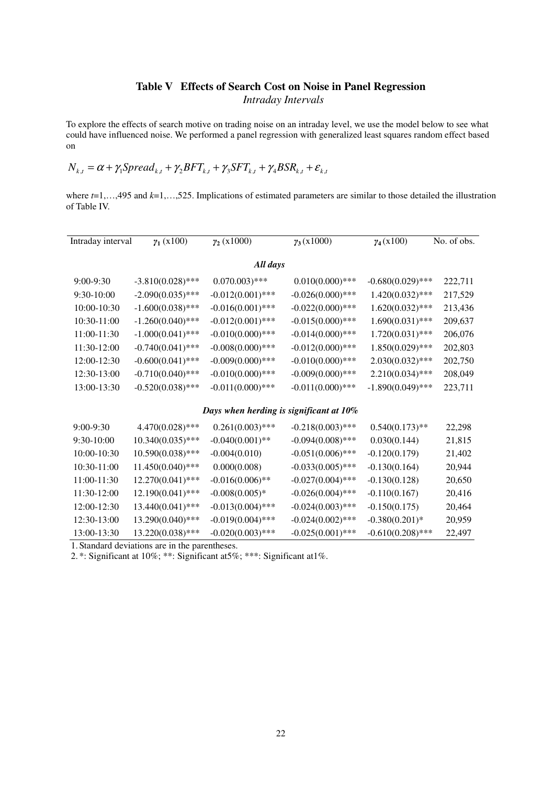## **Table V Effects of Search Cost on Noise in Panel Regression**  *Intraday Intervals*

To explore the effects of search motive on trading noise on an intraday level, we use the model below to see what could have influenced noise. We performed a panel regression with generalized least squares random effect based on

$$
N_{k,t} = \alpha + \gamma_1 \text{Spread}_{k,t} + \gamma_2 \text{BFT}_{k,t} + \gamma_3 \text{SFT}_{k,t} + \gamma_4 \text{BSR}_{k,t} + \varepsilon_{k,t}
$$

where  $t=1,...,495$  and  $k=1,...,525$ . Implications of estimated parameters are similar to those detailed the illustration of Table IV.

| Intraday interval | $\gamma_1(x100)$    | $\gamma_2(x1000)$                       | $\gamma_3(x1000)$   | $\gamma_4(x100)$    | No. of obs. |
|-------------------|---------------------|-----------------------------------------|---------------------|---------------------|-------------|
|                   |                     |                                         |                     |                     |             |
|                   |                     | All days                                |                     |                     |             |
| $9:00-9:30$       | $-3.810(0.028)$ *** | $0.070.003$ <sup>***</sup>              | $0.010(0.000)$ ***  | $-0.680(0.029)$ *** | 222,711     |
| 9:30-10:00        | $-2.090(0.035)$ *** | $-0.012(0.001)$ ***                     | $-0.026(0.000)$ *** | $1.420(0.032)$ ***  | 217,529     |
| 10:00-10:30       | $-1.600(0.038)$ *** | $-0.016(0.001)$ ***                     | $-0.022(0.000)$ *** | $1.620(0.032)$ ***  | 213,436     |
| 10:30-11:00       | $-1.260(0.040)$ *** | $-0.012(0.001)$ ***                     | $-0.015(0.000)$ *** | $1.690(0.031)$ ***  | 209,637     |
| 11:00-11:30       | $-1.000(0.041)$ *** | $-0.010(0.000)$ ***                     | $-0.014(0.000)$ *** | $1.720(0.031)$ ***  | 206,076     |
| 11:30-12:00       | $-0.740(0.041)$ *** | $-0.008(0.000)$ ***                     | $-0.012(0.000)$ *** | $1.850(0.029)$ ***  | 202,803     |
| 12:00-12:30       | $-0.600(0.041)$ *** | $-0.009(0.000)$ ***                     | $-0.010(0.000)$ *** | $2.030(0.032)$ ***  | 202,750     |
| 12:30-13:00       | $-0.710(0.040)$ *** | $-0.010(0.000)$ ***                     | $-0.009(0.000)$ *** | $2.210(0.034)$ ***  | 208,049     |
| 13:00-13:30       | $-0.520(0.038)$ *** | $-0.011(0.000)$ ***                     | $-0.011(0.000)$ *** | $-1.890(0.049)$ *** | 223,711     |
|                   |                     |                                         |                     |                     |             |
|                   |                     | Days when herding is significant at 10% |                     |                     |             |
| 9:00-9:30         | 4.470(0.028)***     | $0.261(0.003)$ ***                      | $-0.218(0.003)$ *** | $0.540(0.173)$ **   | 22,298      |
| 9:30-10:00        | $10.340(0.035)$ *** | $-0.040(0.001)$ **                      | $-0.094(0.008)$ *** | 0.030(0.144)        | 21,815      |
| 10:00-10:30       | 10.590(0.038)***    | $-0.004(0.010)$                         | $-0.051(0.006)$ *** | $-0.120(0.179)$     | 21,402      |
| 10:30-11:00       | 11.450(0.040)***    | 0.000(0.008)                            | $-0.033(0.005)$ *** | $-0.130(0.164)$     | 20,944      |
| 11:00-11:30       | 12.270(0.041)***    | $-0.016(0.006)$ **                      | $-0.027(0.004)$ *** | $-0.130(0.128)$     | 20,650      |
| 11:30-12:00       | 12.190(0.041)***    | $-0.008(0.005)*$                        | $-0.026(0.004)$ *** | $-0.110(0.167)$     | 20,416      |
| 12:00-12:30       | 13.440(0.041)***    | $-0.013(0.004)$ ***                     | $-0.024(0.003)$ *** | $-0.150(0.175)$     | 20,464      |
| 12:30-13:00       | 13.290(0.040)***    | $-0.019(0.004)$ ***                     | $-0.024(0.002)$ *** | $-0.380(0.201)$ *   | 20,959      |
| 13:00-13:30       | 13.220(0.038)***    | $-0.020(0.003)$ ***                     | $-0.025(0.001)$ *** | $-0.610(0.208)$ *** | 22,497      |

1. Standard deviations are in the parentheses.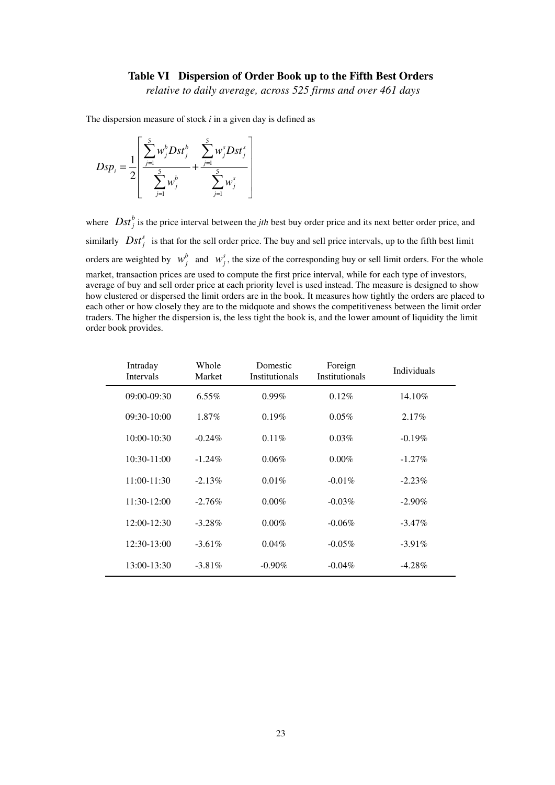### **Table VI Dispersion of Order Book up to the Fifth Best Orders**

*relative to daily average, across 525 firms and over 461 days* 

The dispersion measure of stock *i* in a given day is defined as

$$
Dsp_i = \frac{1}{2} \left[ \frac{\sum_{j=1}^{5} w_j^b Dst_j^b}{\sum_{j=1}^{5} w_j^b} + \frac{\sum_{j=1}^{5} w_j^s Dst_j^s}{\sum_{j=1}^{5} w_j^s} \right]
$$

where  $\int_{B}Dst_{j}^{b}$  is the price interval between the *jth* best buy order price and its next better order price, and similarly  $\text{Dst}_j^s$  is that for the sell order price. The buy and sell price intervals, up to the fifth best limit orders are weighted by  $w_j^b$  and  $w_j^s$ , the size of the corresponding buy or sell limit orders. For the whole market, transaction prices are used to compute the first price interval, while for each type of investors, average of buy and sell order price at each priority level is used instead. The measure is designed to show how clustered or dispersed the limit orders are in the book. It measures how tightly the orders are placed to each other or how closely they are to the midquote and shows the competitiveness between the limit order traders. The higher the dispersion is, the less tight the book is, and the lower amount of liquidity the limit order book provides.

| Intraday<br><b>Intervals</b> | Whole<br>Market | Domestic<br><b>Institutionals</b> | Foreign<br><b>Institutionals</b> | Individuals |  |
|------------------------------|-----------------|-----------------------------------|----------------------------------|-------------|--|
| 09:00-09:30                  | $6.55\%$        | $0.99\%$                          | 0.12%                            | 14.10%      |  |
| $09:30-10:00$                | 1.87%           | 0.19%                             | 0.05%                            | $2.17\%$    |  |
| $10:00 - 10:30$              | $-0.24\%$       | 0.11%                             | 0.03%                            | $-0.19%$    |  |
| $10:30-11:00$                | $-1.24\%$       | 0.06%                             | $0.00\%$                         | $-1.27%$    |  |
| $11:00-11:30$                | $-2.13\%$       | $0.01\%$                          | $-0.01\%$                        | $-2.23%$    |  |
| $11:30-12:00$                | $-2.76%$        | $0.00\%$                          | $-0.03\%$                        | $-2.90\%$   |  |
| 12:00-12:30                  | $-3.28\%$       | $0.00\%$                          | $-0.06\%$                        | $-3.47\%$   |  |
| 12:30-13:00                  | $-3.61\%$       | $0.04\%$                          | $-0.05\%$                        | $-3.91\%$   |  |
| $13:00 - 13:30$              | $-3.81\%$       | $-0.90\%$                         | $-0.04\%$                        | $-4.28%$    |  |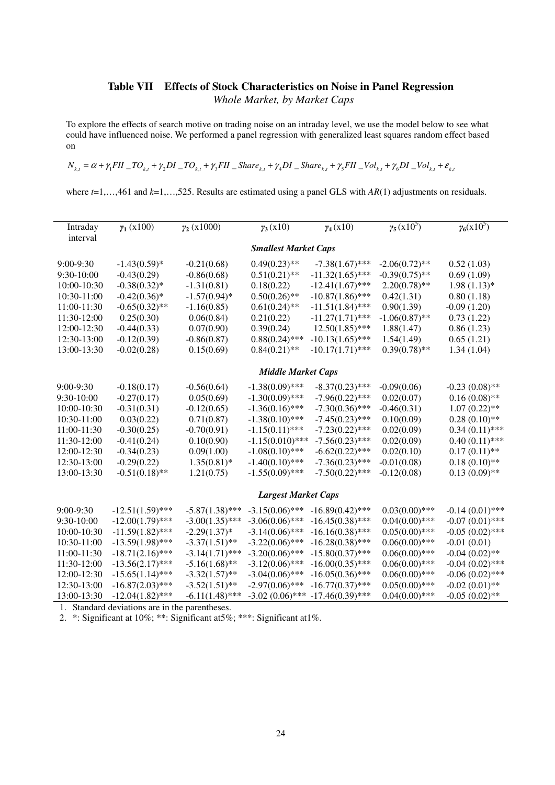## **Table VII Effects of Stock Characteristics on Noise in Panel Regression**  *Whole Market, by Market Caps*

To explore the effects of search motive on trading noise on an intraday level, we use the model below to see what could have influenced noise. We performed a panel regression with generalized least squares random effect based on

 $N_{k,t} = \alpha + \gamma_1 FII - TO_{k,t} + \gamma_2 DI - TO_{k,t} + \gamma_3 FII$  Share<sub>ks</sub> +  $\gamma_4 DI$  Share<sub>ks</sub> +  $\gamma_5 FII$  Nol<sub>ks</sub> +  $\gamma_6 DI$  Nol<sub>ks</sub> +  $\varepsilon_{k,t}$ 

where  $t=1,\ldots,461$  and  $k=1,\ldots,525$ . Results are estimated using a panel GLS with  $AR(1)$  adjustments on residuals.

| Intraday<br>interval | $\gamma_1(x100)$                               | $\gamma_2(x1000)$ | $\gamma_3(x10)$             | $\gamma_4(x10)$    | $\gamma_5(x10^5)$ | $\gamma_6(x10^5)$ |  |  |
|----------------------|------------------------------------------------|-------------------|-----------------------------|--------------------|-------------------|-------------------|--|--|
|                      |                                                |                   | <b>Smallest Market Caps</b> |                    |                   |                   |  |  |
| 9:00-9:30            | $-1.43(0.59)$ *                                | $-0.21(0.68)$     | $0.49(0.23)$ **             | $-7.38(1.67)$ ***  | $-2.06(0.72)$ **  | 0.52(1.03)        |  |  |
| 9:30-10:00           | $-0.43(0.29)$                                  | $-0.86(0.68)$     | $0.51(0.21)$ **             | $-11.32(1.65)$ *** | $-0.39(0.75)$ **  | 0.69(1.09)        |  |  |
| 10:00-10:30          | $-0.38(0.32)$ *                                | $-1.31(0.81)$     | 0.18(0.22)                  | $-12.41(1.67)$ *** | $2.20(0.78)$ **   | $1.98(1.13)*$     |  |  |
| 10:30-11:00          | $-0.42(0.36)$ *                                | $-1.57(0.94)$ *   | $0.50(0.26)$ **             | $-10.87(1.86)$ *** | 0.42(1.31)        | 0.80(1.18)        |  |  |
| 11:00-11:30          | $-0.65(0.32)$ **                               | $-1.16(0.85)$     | $0.61(0.24)$ **             | $-11.51(1.84)$ *** | 0.90(1.39)        | $-0.09(1.20)$     |  |  |
| 11:30-12:00          | 0.25(0.30)                                     | 0.06(0.84)        | 0.21(0.22)                  | $-11.27(1.71)$ *** | $-1.06(0.87)$ **  | 0.73(1.22)        |  |  |
| 12:00-12:30          | $-0.44(0.33)$                                  | 0.07(0.90)        | 0.39(0.24)                  | $12.50(1.85)$ ***  | 1.88(1.47)        | 0.86(1.23)        |  |  |
| 12:30-13:00          | $-0.12(0.39)$                                  | $-0.86(0.87)$     | $0.88(0.24)$ ***            | $-10.13(1.65)$ *** | 1.54(1.49)        | 0.65(1.21)        |  |  |
| 13:00-13:30          | $-0.02(0.28)$                                  | 0.15(0.69)        | $0.84(0.21)$ **             | $-10.17(1.71)$ *** | $0.39(0.78)$ **   | 1.34(1.04)        |  |  |
|                      | <b>Middle Market Caps</b>                      |                   |                             |                    |                   |                   |  |  |
| 9:00-9:30            | $-0.18(0.17)$                                  | $-0.56(0.64)$     | $-1.38(0.09)$ ***           | $-8.37(0.23)$ ***  | $-0.09(0.06)$     | $-0.23(0.08)$ **  |  |  |
| 9:30-10:00           | $-0.27(0.17)$                                  | 0.05(0.69)        | $-1.30(0.09)$ ***           | $-7.96(0.22)$ ***  | 0.02(0.07)        | $0.16(0.08)$ **   |  |  |
| 10:00-10:30          | $-0.31(0.31)$                                  | $-0.12(0.65)$     | $-1.36(0.16)$ ***           | $-7.30(0.36)$ ***  | $-0.46(0.31)$     | $1.07(0.22)$ **   |  |  |
| 10:30-11:00          | 0.03(0.22)                                     | 0.71(0.87)        | $-1.38(0.10)$ ***           | $-7.45(0.23)$ ***  | 0.10(0.09)        | $0.28(0.10)$ **   |  |  |
| 11:00-11:30          | $-0.30(0.25)$                                  | $-0.70(0.91)$     | $-1.15(0.11)$ ***           | $-7.23(0.22)$ ***  | 0.02(0.09)        | $0.34(0.11)$ ***  |  |  |
| 11:30-12:00          | $-0.41(0.24)$                                  | 0.10(0.90)        | $-1.15(0.010)$ ***          | $-7.56(0.23)$ ***  | 0.02(0.09)        | $0.40(0.11)$ ***  |  |  |
| 12:00-12:30          | $-0.34(0.23)$                                  | 0.09(1.00)        | $-1.08(0.10)$ ***           | $-6.62(0.22)$ ***  | 0.02(0.10)        | $0.17(0.11)$ **   |  |  |
| 12:30-13:00          | $-0.29(0.22)$                                  | $1.35(0.81)$ *    | $-1.40(0.10)$ ***           | $-7.36(0.23)$ ***  | $-0.01(0.08)$     | $0.18(0.10)$ **   |  |  |
| 13:00-13:30          | $-0.51(0.18)$ **                               | 1.21(0.75)        | $-1.55(0.09)$ ***           | $-7.50(0.22)$ ***  | $-0.12(0.08)$     | $0.13(0.09)$ **   |  |  |
|                      |                                                |                   | <b>Largest Market Caps</b>  |                    |                   |                   |  |  |
| 9:00-9:30            | $-12.51(1.59)$ ***                             | $-5.87(1.38)$ *** | $-3.15(0.06)$ ***           | $-16.89(0.42)$ *** | $0.03(0.00)$ ***  | $-0.14(0.01)$ *** |  |  |
| 9:30-10:00           | $-12.00(1.79)$ ***                             | $-3.00(1.35)$ *** | $-3.06(0.06)$ ***           | $-16.45(0.38)$ *** | $0.04(0.00)***$   | $-0.07(0.01)$ *** |  |  |
| 10:00-10:30          | $-11.59(1.82)$ ***                             | $-2.29(1.37)$ *   | $-3.14(0.06)$ ***           | $-16.16(0.38)$ *** | $0.05(0.00)$ ***  | $-0.05(0.02)$ *** |  |  |
| 10:30-11:00          | $-13.59(1.98)$ ***                             | $-3.37(1.51)$ **  | $-3.22(0.06)$ ***           | $-16.28(0.38)$ *** | $0.06(0.00)***$   | $-0.01(0.01)$     |  |  |
| 11:00-11:30          | $-18.71(2.16)$ ***                             | $-3.14(1.71)$ *** | $-3.20(0.06)$ ***           | $-15.80(0.37)$ *** | $0.06(0.00)***$   | $-0.04(0.02)$ **  |  |  |
| 11:30-12:00          | $-13.56(2.17)$ ***                             | $-5.16(1.68)$ **  | $-3.12(0.06)$ ***           | $-16.00(0.35)$ *** | $0.06(0.00)***$   | $-0.04(0.02)$ *** |  |  |
| 12:00-12:30          | $-15.65(1.14)$ ***                             | $-3.32(1.57)$ **  | $-3.04(0.06)$ ***           | $-16.05(0.36)$ *** | $0.06(0.00)***$   | $-0.06(0.02)$ *** |  |  |
| 12:30-13:00          | $-16.87(2.03)$ ***                             | $-3.52(1.51)$ **  | $-2.97(0.06)$ ***           | $-16.77(0.37)$ *** | $0.05(0.00)$ ***  | $-0.02(0.01)$ **  |  |  |
| 13:00-13:30          | $-12.04(1.82)$ ***                             | $-6.11(1.48)$ *** | $-3.02(0.06)$ ***           | $-17.46(0.39)$ *** | $0.04(0.00)***$   | $-0.05(0.02)$ **  |  |  |
|                      | 1. Standard deviations are in the parentheses. |                   |                             |                    |                   |                   |  |  |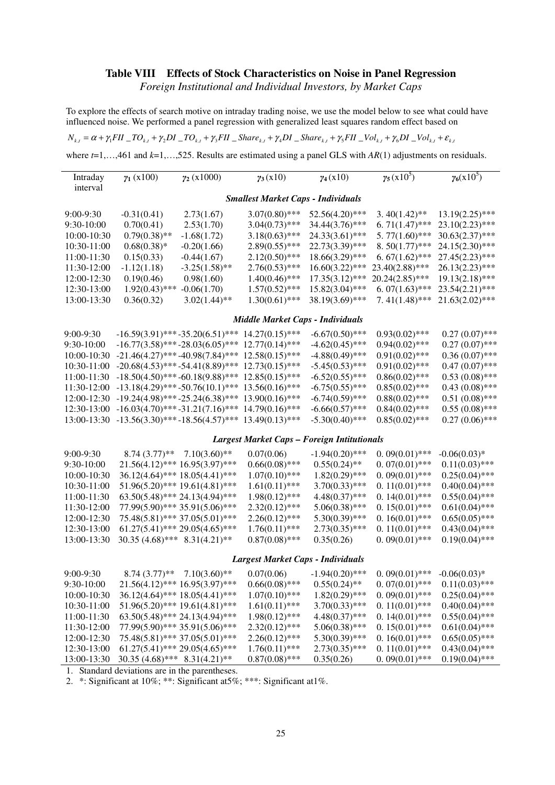## **Table VIII Effects of Stock Characteristics on Noise in Panel Regression**

*Foreign Institutional and Individual Investors, by Market Caps*

To explore the effects of search motive on intraday trading noise, we use the model below to see what could have influenced noise. We performed a panel regression with generalized least squares random effect based on

 $N_{k,t} = \alpha + \gamma_1 FII - TO_{k,t} + \gamma_2 DI - TO_{k,t} + \gamma_3 FII$  Share  $\gamma_k + \gamma_4 DI$  Share  $\gamma_k + \gamma_5 FII$  No  $\gamma_k + \gamma_6 DI$  No  $\gamma_{k,t} + \varepsilon_{k,t}$ 

where  $t=1,\ldots,461$  and  $k=1,\ldots,525$ . Results are estimated using a panel GLS with  $AR(1)$  adjustments on residuals.

| $\gamma_1(x100)$                          | $\gamma_2$ (x1000) | $\gamma_3(x10)$  | $\gamma_4(x10)$   | $\gamma_5(x10^5)$                                                          | $\gamma_6(x10^5)$ |  |  |  |  |
|-------------------------------------------|--------------------|------------------|-------------------|----------------------------------------------------------------------------|-------------------|--|--|--|--|
|                                           |                    |                  |                   |                                                                            |                   |  |  |  |  |
| <b>Smallest Market Caps - Individuals</b> |                    |                  |                   |                                                                            |                   |  |  |  |  |
| $-0.31(0.41)$                             | 2.73(1.67)         | $3.07(0.80)$ *** | $52.56(4.20)$ *** | $3.40(1.42)$ **                                                            | $13.19(2.25)$ *** |  |  |  |  |
| 0.70(0.41)                                | 2.53(1.70)         | $3.04(0.73)$ *** | $34.44(3.76)$ *** | $6.71(1.47)$ ***                                                           | $23.10(2.23)$ *** |  |  |  |  |
| $0.79(0.38)$ **                           | $-1.68(1.72)$      | $3.18(0.63)$ *** | $24.33(3.61)$ *** | $5.77(1.60)$ ***                                                           | $30.63(2.37)$ *** |  |  |  |  |
| $0.68(0.38)*$                             | $-0.20(1.66)$      | $2.89(0.55)$ *** |                   | $8.50(1.77)$ ***                                                           | $24.15(2.30)$ *** |  |  |  |  |
| 0.15(0.33)                                | $-0.44(1.67)$      | $2.12(0.50)$ *** |                   | $6.67(1.62)$ ***                                                           | $27.45(2.23)$ *** |  |  |  |  |
| $-1.12(1.18)$                             | $-3.25(1.58)$ **   | $2.76(0.53)$ *** | $16.60(3.22)$ *** | $23.40(2.88)$ ***                                                          | $26.13(2.23)$ *** |  |  |  |  |
| 0.19(0.46)                                | 0.98(1.60)         | $1.40(0.46)$ *** | $17.35(3.12)$ *** | $20.24(2.85)$ ***                                                          | $19.13(2.18)$ *** |  |  |  |  |
|                                           | $-0.06(1.70)$      | $1.57(0.52)$ *** | $15.82(3.04)$ *** | $6.07(1.63)$ ***                                                           | $23.54(2.21)$ *** |  |  |  |  |
| 0.36(0.32)                                | $3.02(1.44)$ **    | $1.30(0.61)$ *** | 38.19(3.69)***    | $7.41(1.48)$ ***                                                           | $21.63(2.02)$ *** |  |  |  |  |
|                                           |                    |                  |                   |                                                                            |                   |  |  |  |  |
|                                           |                    | $1.92(0.43)$ *** |                   | $22.73(3.39)$ ***<br>$18.66(3.29)$ ***<br>Middle Market Caps - Individuals |                   |  |  |  |  |

| $9:00-9:30$  | $-16.59(3.91)$ *** $-35.20(6.51)$ *** $14.27(0.15)$ ***               | $-6.67(0.50)$ *** | $0.93(0.02)$ *** | $0.27(0.07)$ *** |
|--------------|-----------------------------------------------------------------------|-------------------|------------------|------------------|
| $9:30-10:00$ | $-16.77(3.58)$ *** $-28.03(6.05)$ *** 12.77(0.14)***                  | $-4.62(0.45)$ *** | $0.94(0.02)$ *** | $0.27(0.07)$ *** |
| 10:00-10:30  | $-21.46(4.27)$ *** $-40.98(7.84)$ *** $12.58(0.15)$ ***               | $-4.88(0.49)$ *** | $0.91(0.02)$ *** | $0.36(0.07)$ *** |
|              | $10:30-11:00$ $-20.68(4.53)$ *** $-54.41(8.89)$ *** $12.73(0.15)$ *** | $-5.45(0.53)$ *** | $0.91(0.02)$ *** | $0.47(0.07)$ *** |
|              | $11:00-11:30$ $-18.50(4.50)$ *** $-60.18(9.88)$ *** $12.85(0.15)$ *** | $-6.52(0.55)$ *** | $0.86(0.02)$ *** | $0.53(0.08)$ *** |
|              | $11:30-12:00$ $-13.18(4.29)$ *** $-50.76(10.1)$ *** $13.56(0.16)$ *** | $-6.75(0.55)$ *** | $0.85(0.02)$ *** | $0.43(0.08)$ *** |
|              | $12:00-12:30$ $-19.24(4.98)$ *** $-25.24(6.38)$ *** $13.90(0.16)$ *** | $-6.74(0.59)$ *** | $0.88(0.02)$ *** | $0.51(0.08)$ *** |
|              | $12:30-13:00$ $-16.03(4.70)$ *** $-31.21(7.16)$ *** $14.79(0.16)$ *** | $-6.66(0.57)$ *** | $0.84(0.02)$ *** | $0.55(0.08)$ *** |
|              | $13:00-13:30$ $-13.56(3.30)$ *** $-18.56(4.57)$ *** $13.49(0.13)$ *** | $-5.30(0.40)$ *** | $0.85(0.02)$ *** | $0.27(0.06)$ *** |

#### *Largest Market Caps – Foreign Intitutionals*

| $9:00-9:30$<br>$9:30-10:00$<br>$10:00-10:30$<br>10:30-11:00<br>11:00-11:30<br>11:30-12:00<br>12:00-12:30<br>12:30-13:00 | $21.56(4.12)$ *** $16.95(3.97)$ ***<br>$63.50(5.48)$ *** 24.13(4.94)***<br>$75.48(5.81)$ *** 37.05(5.01)***<br>$61.27(5.41)$ *** 29.05(4.65)*** | $8.74(3.77)$ <sup>**</sup> 7.10(3.60) <sup>**</sup><br>$36.12(4.64)$ *** $18.05(4.41)$ ***<br>$51.96(5.20)$ *** $19.61(4.81)$ ***<br>$77.99(5.90)$ *** 35.91(5.06)*** | 0.07(0.06)<br>$0.66(0.08)$ ***<br>$1.07(0.10)$ ***<br>$1.61(0.11)$ ***<br>$1.98(0.12)$ ***<br>$2.32(0.12)$ ***<br>$2.26(0.12)$ ***<br>$1.76(0.11)$ *** | $-1.94(0.20)$ ***<br>$0.55(0.24)$ **<br>$1.82(0.29)$ ***<br>$3.70(0.33)$ ***<br>$4.48(0.37)$ ***<br>$5.06(0.38)$ ***<br>$5.30(0.39)$ ***<br>$2.73(0.35)$ *** | $0.09(0.01)$ ***<br>$0.07(0.01)$ ***<br>$0.09(0.01)$ ***<br>$0.11(0.01)$ ***<br>0. $14(0.01)$ ***<br>$0.15(0.01)$ ***<br>$0.16(0.01)$ ***<br>$0.11(0.01)$ *** | $-0.06(0.03)$ *<br>$0.11(0.03)$ ***<br>$0.25(0.04)$ ***<br>$0.40(0.04)$ ***<br>$0.55(0.04)$ ***<br>$0.61(0.04)$ ***<br>$0.65(0.05)$ ***<br>$0.43(0.04)$ *** |
|-------------------------------------------------------------------------------------------------------------------------|-------------------------------------------------------------------------------------------------------------------------------------------------|-----------------------------------------------------------------------------------------------------------------------------------------------------------------------|--------------------------------------------------------------------------------------------------------------------------------------------------------|--------------------------------------------------------------------------------------------------------------------------------------------------------------|---------------------------------------------------------------------------------------------------------------------------------------------------------------|-------------------------------------------------------------------------------------------------------------------------------------------------------------|
| 13:00-13:30                                                                                                             | $30.35(4.68)$ *** $8.31(4.21)$ **                                                                                                               |                                                                                                                                                                       | $0.87(0.08)$ ***                                                                                                                                       | 0.35(0.26)                                                                                                                                                   | $0.09(0.01)$ ***                                                                                                                                              | $0.19(0.04)$ ***                                                                                                                                            |

#### *Largest Market Caps - Individuals*

| $9:00-9:30$  | $8.74(3.77)$ ** 7.10(3.60)**        | 0.07(0.06)       | $-1.94(0.20)$ *** | $0.09(0.01)$ ***  | $-0.06(0.03)$ *  |
|--------------|-------------------------------------|------------------|-------------------|-------------------|------------------|
| $9:30-10:00$ | $21.56(4.12)$ *** $16.95(3.97)$ *** | $0.66(0.08)$ *** | $0.55(0.24)$ **   | $0.07(0.01)$ ***  | $0.11(0.03)$ *** |
| 10:00-10:30  | $36.12(4.64)$ *** $18.05(4.41)$ *** | $1.07(0.10)$ *** | $1.82(0.29)$ ***  | $0.09(0.01)$ ***  | $0.25(0.04)$ *** |
| 10:30-11:00  | $51.96(5.20)$ *** $19.61(4.81)$ *** | $1.61(0.11)$ *** | $3.70(0.33)$ ***  | $0.11(0.01)$ ***  | $0.40(0.04)$ *** |
| 11:00-11:30  | $63.50(5.48)$ *** 24.13(4.94)***    | $1.98(0.12)$ *** | $4.48(0.37)$ ***  | $0.14(0.01)$ ***  | $0.55(0.04)$ *** |
| 11:30-12:00  | $77.99(5.90)$ *** 35.91(5.06)***    | $2.32(0.12)$ *** | $5.06(0.38)$ ***  | $0.15(0.01)$ ***  | $0.61(0.04)$ *** |
| 12:00-12:30  | $75.48(5.81)$ *** 37.05(5.01)***    | $2.26(0.12)$ *** | $5.30(0.39)$ ***  | 0. $16(0.01)$ *** | $0.65(0.05)$ *** |
| 12:30-13:00  | $61.27(5.41)$ *** 29.05(4.65)***    | $1.76(0.11)$ *** | $2.73(0.35)$ ***  | $0.11(0.01)$ ***  | $0.43(0.04)$ *** |
| 13:00-13:30  | $30.35(4.68)$ *** $8.31(4.21)$ **   | $0.87(0.08)$ *** | 0.35(0.26)        | $0.09(0.01)$ ***  | $0.19(0.04)$ *** |

1. Standard deviations are in the parentheses.